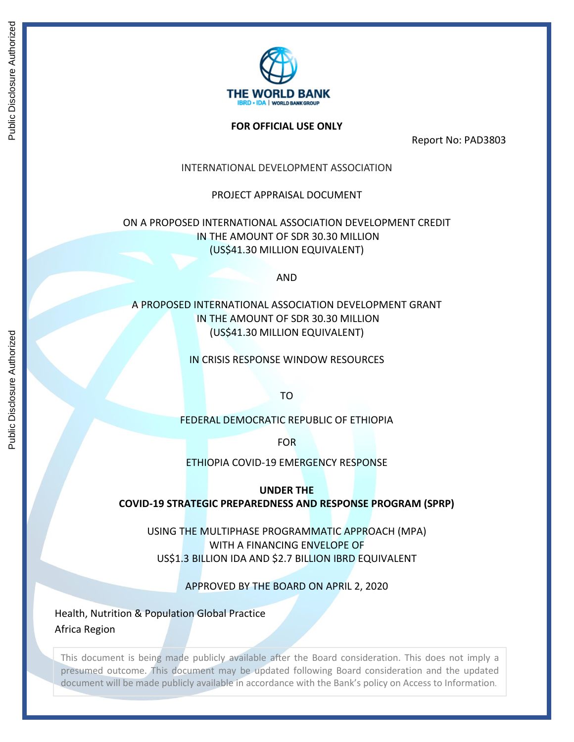

## **FOR OFFICIAL USE ONLY**

Report No: PAD3803

# INTERNATIONAL DEVELOPMENT ASSOCIATION

# PROJECT APPRAISAL DOCUMENT

# ON A PROPOSED INTERNATIONAL ASSOCIATION DEVELOPMENT CREDIT IN THE AMOUNT OF SDR 30.30 MILLION (US\$41.30 MILLION EQUIVALENT)

AND

# A PROPOSED INTERNATIONAL ASSOCIATION DEVELOPMENT GRANT IN THE AMOUNT OF SDR 30.30 MILLION (US\$41.30 MILLION EQUIVALENT)

## IN CRISIS RESPONSE WINDOW RESOURCES

TO

# FEDERAL DEMOCRATIC REPUBLIC OF ETHIOPIA

FOR

ETHIOPIA COVID-19 EMERGENCY RESPONSE

**UNDER THE** 

**COVID-19 STRATEGIC PREPAREDNESS AND RESPONSE PROGRAM (SPRP)**

USING THE MULTIPHASE PROGRAMMATIC APPROACH (MPA) WITH A FINANCING ENVELOPE OF US\$1.3 BILLION IDA AND \$2.7 BILLION IBRD EQUIVALENT

APPROVED BY THE BOARD ON APRIL 2, 2020

Health, Nutrition & Population Global Practice Africa Region

This document is being made publicly available after the Board consideration. This does not imply a presumed outcome. This document may be updated following Board consideration and the updated document will be made publicly available in accordance with the Bank's policy on Access to Information.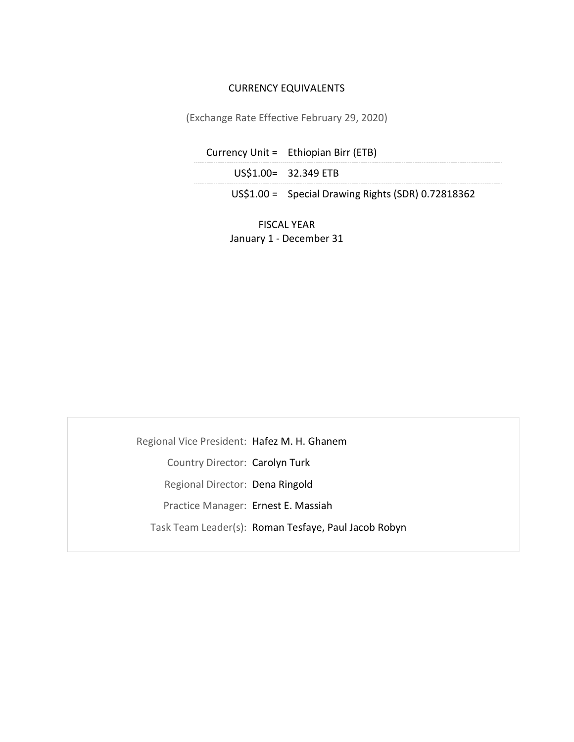# CURRENCY EQUIVALENTS

(Exchange Rate Effective February 29, 2020)

| Currency Unit = Ethiopian Birr (ETB)                |
|-----------------------------------------------------|
| US\$1.00= 32.349 ETB                                |
| $US$1.00 =$ Special Drawing Rights (SDR) 0.72818362 |

FISCAL YEAR January 1 - December 31

Regional Vice President: Hafez M. H. Ghanem Country Director: Carolyn Turk Regional Director: Dena Ringold Practice Manager: Ernest E. Massiah Task Team Leader(s): Roman Tesfaye, Paul Jacob Robyn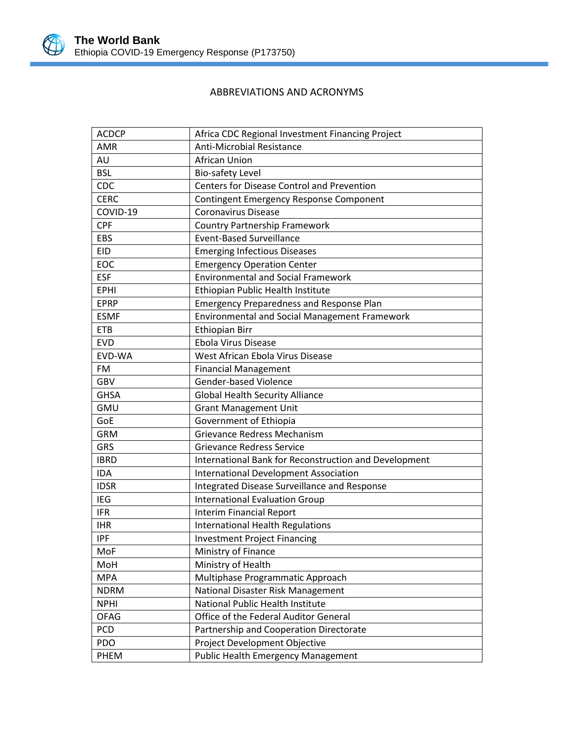

# ABBREVIATIONS AND ACRONYMS

| <b>ACDCP</b> | Africa CDC Regional Investment Financing Project      |
|--------------|-------------------------------------------------------|
| <b>AMR</b>   | Anti-Microbial Resistance                             |
| AU           | <b>African Union</b>                                  |
| <b>BSL</b>   | <b>Bio-safety Level</b>                               |
| CDC          | Centers for Disease Control and Prevention            |
| <b>CERC</b>  | Contingent Emergency Response Component               |
| COVID-19     | <b>Coronavirus Disease</b>                            |
| <b>CPF</b>   | <b>Country Partnership Framework</b>                  |
| EBS          | <b>Event-Based Surveillance</b>                       |
| <b>EID</b>   | <b>Emerging Infectious Diseases</b>                   |
| EOC          | <b>Emergency Operation Center</b>                     |
| <b>ESF</b>   | <b>Environmental and Social Framework</b>             |
| <b>EPHI</b>  | Ethiopian Public Health Institute                     |
| <b>EPRP</b>  | <b>Emergency Preparedness and Response Plan</b>       |
| <b>ESMF</b>  | <b>Environmental and Social Management Framework</b>  |
| <b>ETB</b>   | <b>Ethiopian Birr</b>                                 |
| <b>EVD</b>   | <b>Ebola Virus Disease</b>                            |
| EVD-WA       | West African Ebola Virus Disease                      |
| FM           | <b>Financial Management</b>                           |
| <b>GBV</b>   | <b>Gender-based Violence</b>                          |
| <b>GHSA</b>  | <b>Global Health Security Alliance</b>                |
| <b>GMU</b>   | <b>Grant Management Unit</b>                          |
| GoE          | Government of Ethiopia                                |
| <b>GRM</b>   | Grievance Redress Mechanism                           |
| <b>GRS</b>   | <b>Grievance Redress Service</b>                      |
| <b>IBRD</b>  | International Bank for Reconstruction and Development |
| <b>IDA</b>   | <b>International Development Association</b>          |
| <b>IDSR</b>  | Integrated Disease Surveillance and Response          |
| IEG          | <b>International Evaluation Group</b>                 |
| <b>IFR</b>   | <b>Interim Financial Report</b>                       |
| <b>IHR</b>   | <b>International Health Regulations</b>               |
| <b>IPF</b>   | <b>Investment Project Financing</b>                   |
| MoF          | Ministry of Finance                                   |
| MoH          | Ministry of Health                                    |
| <b>MPA</b>   | Multiphase Programmatic Approach                      |
| <b>NDRM</b>  | National Disaster Risk Management                     |
| <b>NPHI</b>  | National Public Health Institute                      |
| <b>OFAG</b>  | Office of the Federal Auditor General                 |
| <b>PCD</b>   | Partnership and Cooperation Directorate               |
| PDO          | Project Development Objective                         |
| PHEM         | <b>Public Health Emergency Management</b>             |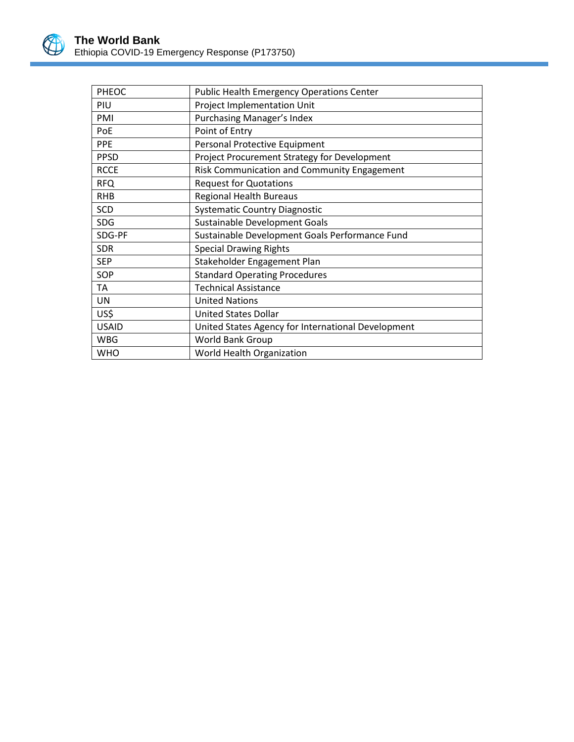

| PHEOC        | <b>Public Health Emergency Operations Center</b>   |
|--------------|----------------------------------------------------|
| PIU          | Project Implementation Unit                        |
| PMI          | <b>Purchasing Manager's Index</b>                  |
| PoE          | Point of Entry                                     |
| <b>PPE</b>   | Personal Protective Equipment                      |
| <b>PPSD</b>  | Project Procurement Strategy for Development       |
| <b>RCCE</b>  | Risk Communication and Community Engagement        |
| <b>RFQ</b>   | <b>Request for Quotations</b>                      |
| <b>RHB</b>   | <b>Regional Health Bureaus</b>                     |
| <b>SCD</b>   | <b>Systematic Country Diagnostic</b>               |
| <b>SDG</b>   | Sustainable Development Goals                      |
| SDG-PF       | Sustainable Development Goals Performance Fund     |
| <b>SDR</b>   | <b>Special Drawing Rights</b>                      |
| <b>SEP</b>   | Stakeholder Engagement Plan                        |
| SOP          | <b>Standard Operating Procedures</b>               |
| TA           | <b>Technical Assistance</b>                        |
| UN           | <b>United Nations</b>                              |
| US\$         | <b>United States Dollar</b>                        |
| <b>USAID</b> | United States Agency for International Development |
| <b>WBG</b>   | World Bank Group                                   |
| <b>WHO</b>   | World Health Organization                          |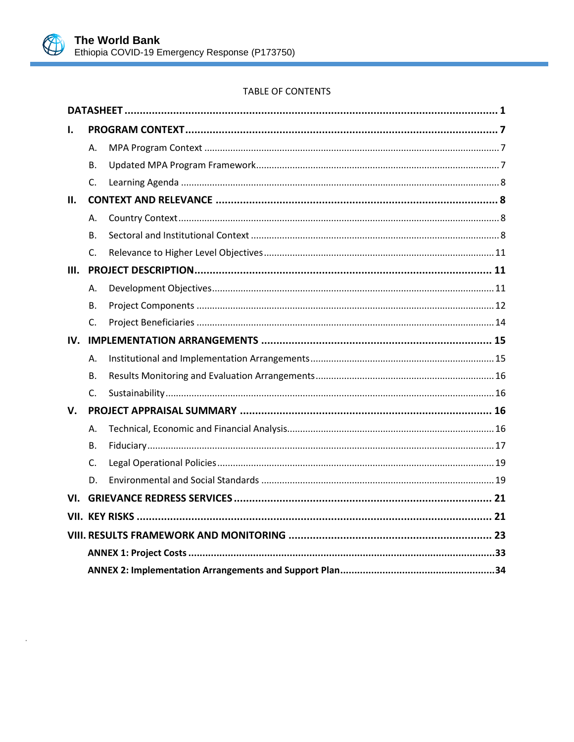

# TABLE OF CONTENTS

| L.   |              |  |
|------|--------------|--|
|      | А.           |  |
|      | В.           |  |
|      | C.           |  |
| II.  |              |  |
|      | Α.           |  |
|      | В.           |  |
|      | C.           |  |
| III. |              |  |
|      | А.           |  |
|      | В.           |  |
|      | C.           |  |
| IV.  |              |  |
|      | Α.           |  |
|      | <b>B.</b>    |  |
|      | $\mathsf{C}$ |  |
| V.   |              |  |
|      | Α.           |  |
|      | В.           |  |
|      | C.           |  |
|      | D.           |  |
|      |              |  |
|      |              |  |
|      |              |  |
|      |              |  |
|      |              |  |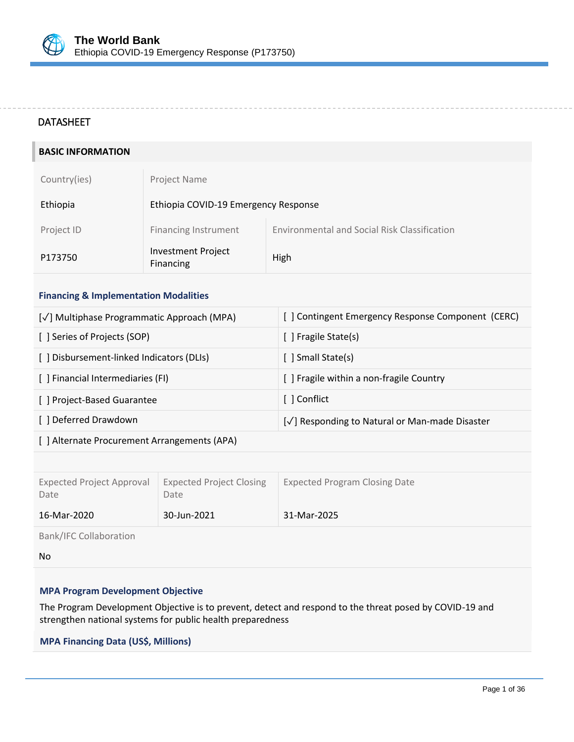# <span id="page-5-0"></span>DATASHEET

| <b>BASIC INFORMATION</b> |                                        |                                              |
|--------------------------|----------------------------------------|----------------------------------------------|
| Country(ies)             | Project Name                           |                                              |
| Ethiopia                 | Ethiopia COVID-19 Emergency Response   |                                              |
| Project ID               | <b>Financing Instrument</b>            | Environmental and Social Risk Classification |
| P173750                  | <b>Investment Project</b><br>Financing | High                                         |
|                          |                                        |                                              |

# **Financing & Implementation Modalities**

| [√] Multiphase Programmatic Approach (MPA) | [] Contingent Emergency Response Component (CERC) |
|--------------------------------------------|---------------------------------------------------|
| [ ] Series of Projects (SOP)               | [ ] Fragile State(s)                              |
| [] Disbursement-linked Indicators (DLIs)   | [ ] Small State(s)                                |
| [ ] Financial Intermediaries (FI)          | [] Fragile within a non-fragile Country           |
| [] Project-Based Guarantee                 |                                                   |
| [ ] Deferred Drawdown                      | [√] Responding to Natural or Man-made Disaster    |
|                                            |                                                   |

[ ] Alternate Procurement Arrangements (APA)

| <b>Expected Project Approval</b><br>Date | <b>Expected Project Closing</b><br>Date | <b>Expected Program Closing Date</b> |
|------------------------------------------|-----------------------------------------|--------------------------------------|
| 16-Mar-2020                              | 30-Jun-2021                             | 31-Mar-2025                          |

Bank/IFC Collaboration

No

## **MPA Program Development Objective**

The Program Development Objective is to prevent, detect and respond to the threat posed by COVID-19 and strengthen national systems for public health preparedness

## **MPA Financing Data (US\$, Millions) Financing**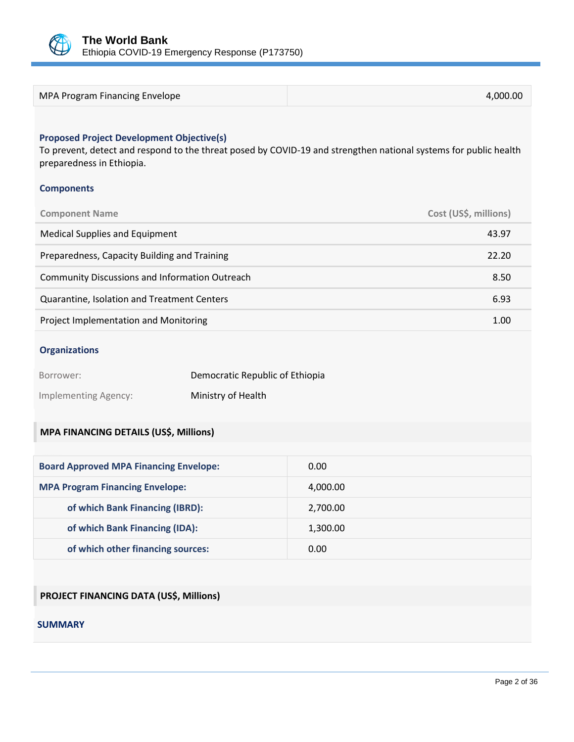

| 4.000.00 |
|----------|
|          |

## **Proposed Project Development Objective(s)**

To prevent, detect and respond to the threat posed by COVID-19 and strengthen national systems for public health preparedness in Ethiopia.

#### **Components**

| <b>Component Name</b>                                 | Cost (US\$, millions) |
|-------------------------------------------------------|-----------------------|
| Medical Supplies and Equipment                        | 43.97                 |
| Preparedness, Capacity Building and Training          | 22.20                 |
| <b>Community Discussions and Information Outreach</b> | 8.50                  |
| Quarantine, Isolation and Treatment Centers           | 6.93                  |
| Project Implementation and Monitoring                 | 1.00                  |

#### **Organizations**

| Borrower:            | Democratic Republic of Ethiopia |
|----------------------|---------------------------------|
| Implementing Agency: | Ministry of Health              |

# **MPA FINANCING DETAILS (US\$, Millions)**

| <b>Board Approved MPA Financing Envelope:</b> | 0.00     |
|-----------------------------------------------|----------|
| <b>MPA Program Financing Envelope:</b>        | 4,000.00 |
| of which Bank Financing (IBRD):               | 2,700.00 |
| of which Bank Financing (IDA):                | 1,300.00 |
| of which other financing sources:             | 0.00     |

# **PROJECT FINANCING DATA (US\$, Millions)**

#### **SUMMARY**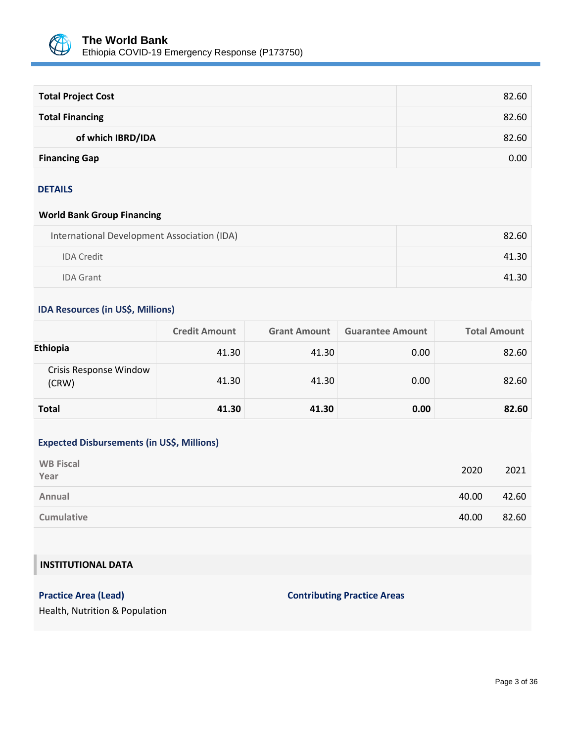

| <b>Total Project Cost</b> | 82.60 |
|---------------------------|-------|
| <b>Total Financing</b>    | 82.60 |
| of which IBRD/IDA         | 82.60 |
| <b>Financing Gap</b>      | 0.00  |

#### DETAILS

## **World Bank Group Financing**

| International Development Association (IDA) | 82.60 |
|---------------------------------------------|-------|
| <b>IDA Credit</b>                           | 41.30 |
| <b>IDA Grant</b>                            | 41.30 |

# **IDA Resources (in US\$, Millions)**

|                                 | <b>Credit Amount</b> | <b>Grant Amount</b> | <b>Guarantee Amount</b> | <b>Total Amount</b> |
|---------------------------------|----------------------|---------------------|-------------------------|---------------------|
| Ethiopia                        | 41.30                | 41.30               | 0.00                    | 82.60               |
| Crisis Response Window<br>(CRW) | 41.30                | 41.30               | 0.00                    | 82.60               |
| <b>Total</b>                    | 41.30                | 41.30               | 0.00                    | 82.60               |

# **Expected Disbursements (in US\$, Millions)**

| <b>WB Fiscal</b><br>Year | 2020  | 2021  |
|--------------------------|-------|-------|
| Annual                   | 40.00 | 42.60 |
| <b>Cumulative</b>        | 40.00 | 82.60 |

# **INSTITUTIONAL DATA**

# **Practice Area (Lead) Contributing Practice Areas**

Health, Nutrition & Population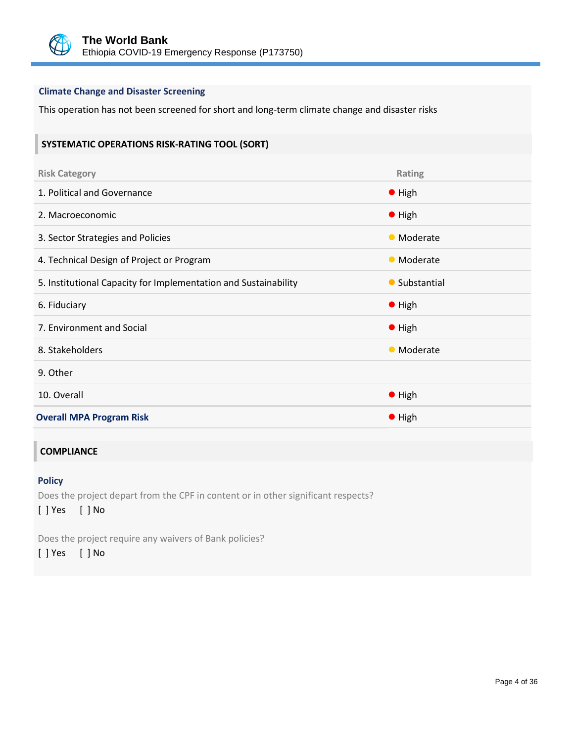

## **Climate Change and Disaster Screening**

This operation has not been screened for short and long-term climate change and disaster risks

#### **SYSTEMATIC OPERATIONS RISK-RATING TOOL (SORT)**

| <b>Risk Category</b>                                            | Rating         |
|-----------------------------------------------------------------|----------------|
| 1. Political and Governance                                     | $\bullet$ High |
| 2. Macroeconomic                                                | • High         |
| 3. Sector Strategies and Policies                               | • Moderate     |
| 4. Technical Design of Project or Program                       | • Moderate     |
| 5. Institutional Capacity for Implementation and Sustainability | • Substantial  |
|                                                                 |                |
| 6. Fiduciary                                                    | $\bullet$ High |
| 7. Environment and Social                                       | $\bullet$ High |
| 8. Stakeholders                                                 | • Moderate     |
| 9. Other                                                        |                |
| 10. Overall                                                     | $\bullet$ High |

## **COMPLIANCE**

## **Policy**

Does the project depart from the CPF in content or in other significant respects? [ ] Yes [ ] No

Does the project require any waivers of Bank policies?

[ ] Yes [ ] No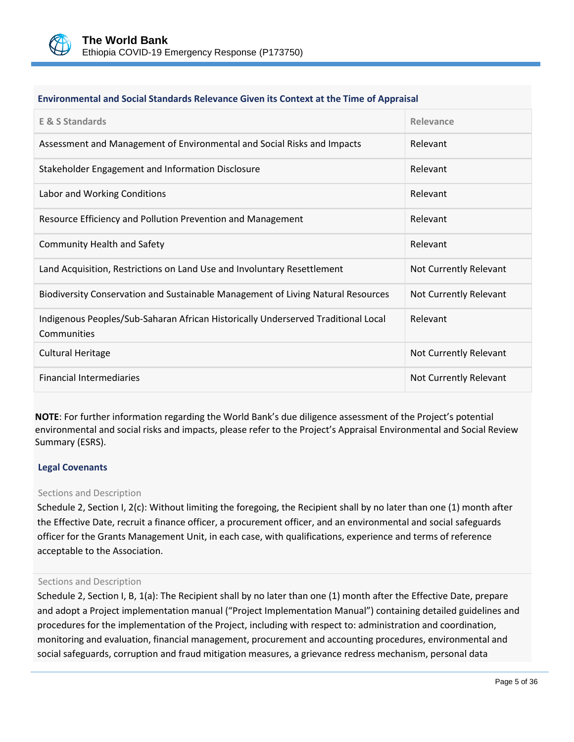

#### **Environmental and Social Standards Relevance Given its Context at the Time of Appraisal**

| <b>E &amp; S Standards</b>                                                                       | Relevance              |
|--------------------------------------------------------------------------------------------------|------------------------|
| Assessment and Management of Environmental and Social Risks and Impacts                          | Relevant               |
| Stakeholder Engagement and Information Disclosure                                                | Relevant               |
| Labor and Working Conditions                                                                     | Relevant               |
| Resource Efficiency and Pollution Prevention and Management                                      | Relevant               |
| <b>Community Health and Safety</b>                                                               | Relevant               |
| Land Acquisition, Restrictions on Land Use and Involuntary Resettlement                          | Not Currently Relevant |
| Biodiversity Conservation and Sustainable Management of Living Natural Resources                 | Not Currently Relevant |
| Indigenous Peoples/Sub-Saharan African Historically Underserved Traditional Local<br>Communities | Relevant               |
| <b>Cultural Heritage</b>                                                                         | Not Currently Relevant |
| <b>Financial Intermediaries</b>                                                                  | Not Currently Relevant |

**NOTE**: For further information regarding the World Bank's due diligence assessment of the Project's potential environmental and social risks and impacts, please refer to the Project's Appraisal Environmental and Social Review Summary (ESRS).

#### **Legal Covenants**

#### Sections and Description

Schedule 2, Section I, 2(c): Without limiting the foregoing, the Recipient shall by no later than one (1) month after the Effective Date, recruit a finance officer, a procurement officer, and an environmental and social safeguards officer for the Grants Management Unit, in each case, with qualifications, experience and terms of reference acceptable to the Association.

#### Sections and Description

Schedule 2, Section I, B, 1(a): The Recipient shall by no later than one (1) month after the Effective Date, prepare and adopt a Project implementation manual ("Project Implementation Manual") containing detailed guidelines and procedures for the implementation of the Project, including with respect to: administration and coordination, monitoring and evaluation, financial management, procurement and accounting procedures, environmental and social safeguards, corruption and fraud mitigation measures, a grievance redress mechanism, personal data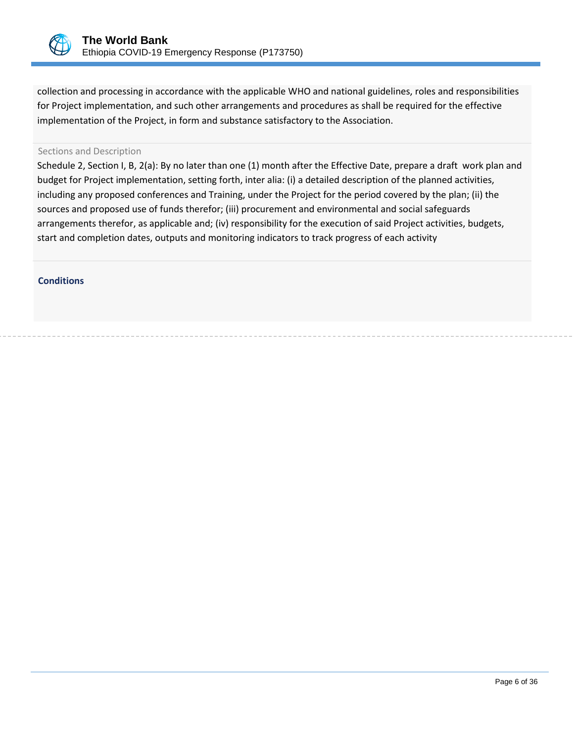

collection and processing in accordance with the applicable WHO and national guidelines, roles and responsibilities for Project implementation, and such other arrangements and procedures as shall be required for the effective implementation of the Project, in form and substance satisfactory to the Association.

#### Sections and Description

Schedule 2, Section I, B, 2(a): By no later than one (1) month after the Effective Date, prepare a draft work plan and budget for Project implementation, setting forth, inter alia: (i) a detailed description of the planned activities, including any proposed conferences and Training, under the Project for the period covered by the plan; (ii) the sources and proposed use of funds therefor; (iii) procurement and environmental and social safeguards arrangements therefor, as applicable and; (iv) responsibility for the execution of said Project activities, budgets, start and completion dates, outputs and monitoring indicators to track progress of each activity

**Conditions**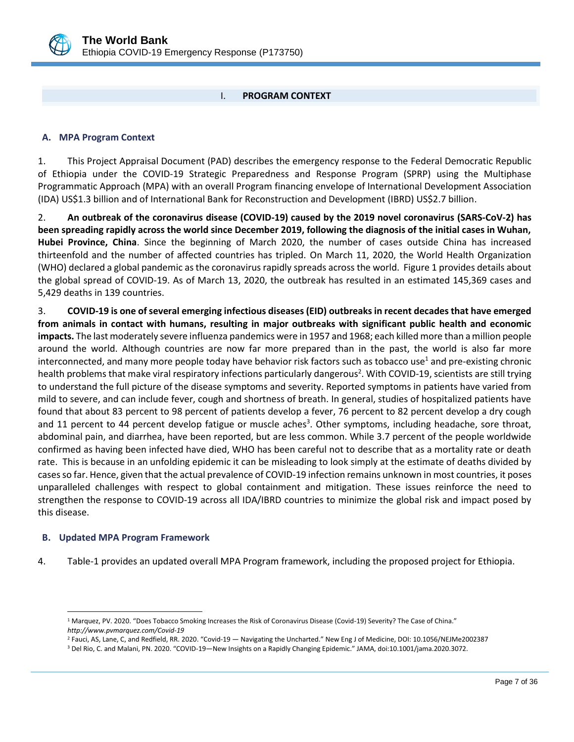

# I. **PROGRAM CONTEXT**

#### <span id="page-11-1"></span><span id="page-11-0"></span>**A. MPA Program Context**

1. This Project Appraisal Document (PAD) describes the emergency response to the Federal Democratic Republic of Ethiopia under the COVID-19 Strategic Preparedness and Response Program (SPRP) using the Multiphase Programmatic Approach (MPA) with an overall Program financing envelope of International Development Association (IDA) US\$1.3 billion and of International Bank for Reconstruction and Development (IBRD) US\$2.7 billion.

2. **An outbreak of the coronavirus disease (COVID-19) caused by the 2019 novel coronavirus (SARS-CoV-2) has been spreading rapidly across the world since December 2019, following the diagnosis of the initial cases in Wuhan, Hubei Province, China**. Since the beginning of March 2020, the number of cases outside China has increased thirteenfold and the number of affected countries has tripled. On March 11, 2020, the World Health Organization (WHO) declared a global pandemic as the coronavirus rapidly spreads across the world. Figure 1 provides details about the global spread of COVID-19. As of March 13, 2020, the outbreak has resulted in an estimated 145,369 cases and 5,429 deaths in 139 countries.

3. **COVID-19 is one of several emerging infectious diseases (EID) outbreaks in recent decades that have emerged from animals in contact with humans, resulting in major outbreaks with significant public health and economic impacts.** The last moderately severe influenza pandemics were in 1957 and 1968; each killed more than a million people around the world. Although countries are now far more prepared than in the past, the world is also far more interconnected, and many more people today have behavior risk factors such as tobacco use<sup>1</sup> and pre-existing chronic health problems that make viral respiratory infections particularly dangerous<sup>2</sup>. With COVID-19, scientists are still trying to understand the full picture of the disease symptoms and severity. Reported symptoms in patients have varied from mild to severe, and can include fever, cough and shortness of breath. In general, studies of hospitalized patients have found that about 83 percent to 98 percent of patients develop a fever, 76 percent to 82 percent develop a dry cough and 11 percent to 44 percent develop fatigue or muscle aches<sup>3</sup>. Other symptoms, including headache, sore throat, abdominal pain, and diarrhea, have been reported, but are less common. While 3.7 percent of the people worldwide confirmed as having been infected have died, WHO has been careful not to describe that as a mortality rate or death rate. This is because in an unfolding epidemic it can be misleading to look simply at the estimate of deaths divided by cases so far. Hence, given that the actual prevalence of COVID-19 infection remains unknown in most countries, it poses unparalleled challenges with respect to global containment and mitigation. These issues reinforce the need to strengthen the response to COVID-19 across all IDA/IBRD countries to minimize the global risk and impact posed by this disease.

## <span id="page-11-2"></span>**B. Updated MPA Program Framework**

 $\overline{a}$ 

4. Table-1 provides an updated overall MPA Program framework, including the proposed project for Ethiopia.

<sup>1</sup> Marquez, PV. 2020. "Does Tobacco Smoking Increases the Risk of Coronavirus Disease (Covid-19) Severity? The Case of China." *<http://www.pvmarquez.com/Covid-19>*

<sup>&</sup>lt;sup>2</sup> Fauci, AS, Lane, C, and Redfield, RR. 2020. "Covid-19 — Navigating the Uncharted." New Eng J of Medicine, DOI: 10.1056/NEJMe2002387

<sup>3</sup> Del Rio, C. and Malani, PN. 2020. "COVID-19—New Insights on a Rapidly Changing Epidemic." JAMA, doi:10.1001/jama.2020.3072.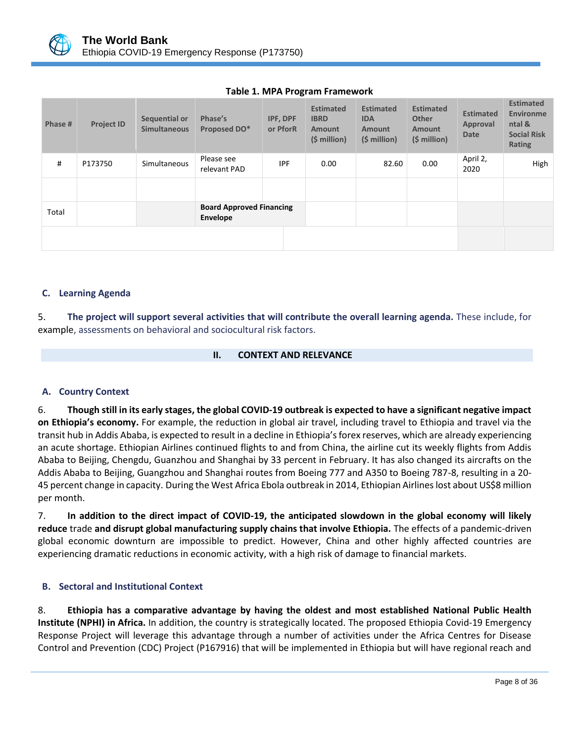

| Phase # | <b>Project ID</b> | Sequential or<br><b>Simultaneous</b> | Phase's<br>Proposed DO*                     | IPF, DPF<br>or PforR | <b>Estimated</b><br><b>IBRD</b><br><b>Amount</b><br>(\$ million) | <b>Estimated</b><br><b>IDA</b><br><b>Amount</b><br>(\$ million) | <b>Estimated</b><br><b>Other</b><br><b>Amount</b><br>(\$ million) | <b>Estimated</b><br>Approval<br><b>Date</b> | <b>Estimated</b><br><b>Environme</b><br>ntal &<br><b>Social Risk</b><br>Rating |
|---------|-------------------|--------------------------------------|---------------------------------------------|----------------------|------------------------------------------------------------------|-----------------------------------------------------------------|-------------------------------------------------------------------|---------------------------------------------|--------------------------------------------------------------------------------|
| #       | P173750           | Simultaneous                         | Please see<br>relevant PAD                  | <b>IPF</b>           | 0.00                                                             | 82.60                                                           | 0.00                                                              | April 2,<br>2020                            | High                                                                           |
|         |                   |                                      |                                             |                      |                                                                  |                                                                 |                                                                   |                                             |                                                                                |
| Total   |                   |                                      | <b>Board Approved Financing</b><br>Envelope |                      |                                                                  |                                                                 |                                                                   |                                             |                                                                                |
|         |                   |                                      |                                             |                      |                                                                  |                                                                 |                                                                   |                                             |                                                                                |

# **Table 1. MPA Program Framework**

## <span id="page-12-0"></span>**C. Learning Agenda**

5. **The project will support several activities that will contribute the overall learning agenda.** These include, for example, assessments on behavioral and sociocultural risk factors.

## **II. CONTEXT AND RELEVANCE**

## <span id="page-12-2"></span><span id="page-12-1"></span>**A. Country Context**

6. **Though still in its early stages, the global COVID-19 outbreak is expected to have a significant negative impact on Ethiopia's economy.** For example, the reduction in global air travel, including travel to Ethiopia and travel via the transit hub in Addis Ababa, is expected to result in a decline in Ethiopia's forex reserves, which are already experiencing an acute shortage. Ethiopian Airlines continued flights to and from China, the airline cut its weekly flights from Addis Ababa to Beijing, Chengdu, Guanzhou and Shanghai by 33 percent in February. It has also changed its aircrafts on the Addis Ababa to Beijing, Guangzhou and Shanghai routes from Boeing 777 and A350 to Boeing 787-8, resulting in a 20- 45 percent change in capacity. During the West Africa Ebola outbreak in 2014, Ethiopian Airlines lost about US\$8 million per month.

7. **In addition to the direct impact of COVID-19, the anticipated slowdown in the global economy will likely reduce** trade **and disrupt global manufacturing supply chains that involve Ethiopia.** The effects of a pandemic-driven global economic downturn are impossible to predict. However, China and other highly affected countries are experiencing dramatic reductions in economic activity, with a high risk of damage to financial markets.

## <span id="page-12-3"></span>**B. Sectoral and Institutional Context**

8. **Ethiopia has a comparative advantage by having the oldest and most established National Public Health Institute (NPHI) in Africa.** In addition, the country is strategically located. The proposed Ethiopia Covid-19 Emergency Response Project will leverage this advantage through a number of activities under the Africa Centres for Disease Control and Prevention (CDC) Project (P167916) that will be implemented in Ethiopia but will have regional reach and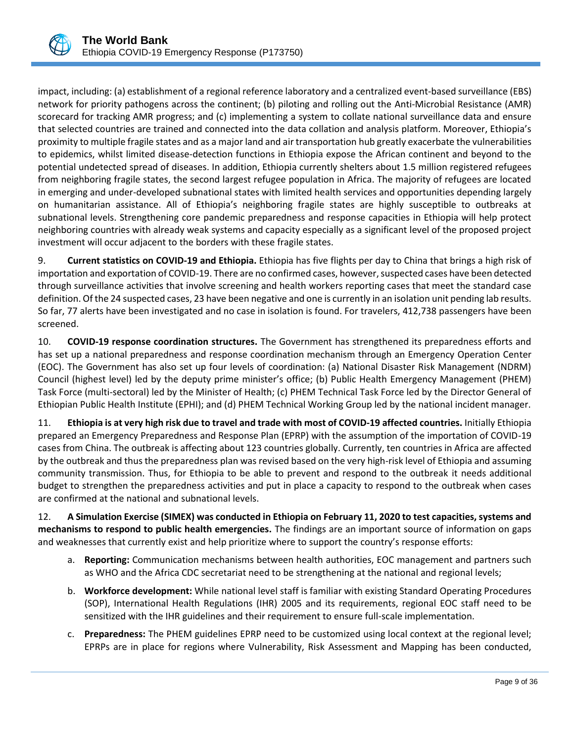

impact, including: (a) establishment of a regional reference laboratory and a centralized event-based surveillance (EBS) network for priority pathogens across the continent; (b) piloting and rolling out the Anti-Microbial Resistance (AMR) scorecard for tracking AMR progress; and (c) implementing a system to collate national surveillance data and ensure that selected countries are trained and connected into the data collation and analysis platform. Moreover, Ethiopia's proximity to multiple fragile states and as a major land and air transportation hub greatly exacerbate the vulnerabilities to epidemics, whilst limited disease-detection functions in Ethiopia expose the African continent and beyond to the potential undetected spread of diseases. In addition, Ethiopia currently shelters about 1.5 million registered refugees from neighboring fragile states, the second largest refugee population in Africa. The majority of refugees are located in emerging and under-developed subnational states with limited health services and opportunities depending largely on humanitarian assistance. All of Ethiopia's neighboring fragile states are highly susceptible to outbreaks at subnational levels. Strengthening core pandemic preparedness and response capacities in Ethiopia will help protect neighboring countries with already weak systems and capacity especially as a significant level of the proposed project investment will occur adjacent to the borders with these fragile states.

9. **Current statistics on COVID-19 and Ethiopia.** Ethiopia has five flights per day to China that brings a high risk of importation and exportation of COVID-19. There are no confirmed cases, however, suspected cases have been detected through surveillance activities that involve screening and health workers reporting cases that meet the standard case definition. Of the 24 suspected cases, 23 have been negative and one is currently in an isolation unit pending lab results. So far, 77 alerts have been investigated and no case in isolation is found. For travelers, 412,738 passengers have been screened.

10. **COVID-19 response coordination structures.** The Government has strengthened its preparedness efforts and has set up a national preparedness and response coordination mechanism through an Emergency Operation Center (EOC). The Government has also set up four levels of coordination: (a) National Disaster Risk Management (NDRM) Council (highest level) led by the deputy prime minister's office; (b) Public Health Emergency Management (PHEM) Task Force (multi-sectoral) led by the Minister of Health; (c) PHEM Technical Task Force led by the Director General of Ethiopian Public Health Institute (EPHI); and (d) PHEM Technical Working Group led by the national incident manager.

11. **Ethiopia is at very high risk due to travel and trade with most of COVID-19 affected countries.** Initially Ethiopia prepared an Emergency Preparedness and Response Plan (EPRP) with the assumption of the importation of COVID-19 cases from China. The outbreak is affecting about 123 countries globally. Currently, ten countries in Africa are affected by the outbreak and thus the preparedness plan was revised based on the very high-risk level of Ethiopia and assuming community transmission. Thus, for Ethiopia to be able to prevent and respond to the outbreak it needs additional budget to strengthen the preparedness activities and put in place a capacity to respond to the outbreak when cases are confirmed at the national and subnational levels.

12. **A Simulation Exercise (SIMEX) was conducted in Ethiopia on February 11, 2020 to test capacities, systems and mechanisms to respond to public health emergencies.** The findings are an important source of information on gaps and weaknesses that currently exist and help prioritize where to support the country's response efforts:

- a. **Reporting:** Communication mechanisms between health authorities, EOC management and partners such as WHO and the Africa CDC secretariat need to be strengthening at the national and regional levels;
- b. **Workforce development:** While national level staff is familiar with existing Standard Operating Procedures (SOP), International Health Regulations (IHR) 2005 and its requirements, regional EOC staff need to be sensitized with the IHR guidelines and their requirement to ensure full-scale implementation.
- c. **Preparedness:** The PHEM guidelines EPRP need to be customized using local context at the regional level; EPRPs are in place for regions where Vulnerability, Risk Assessment and Mapping has been conducted,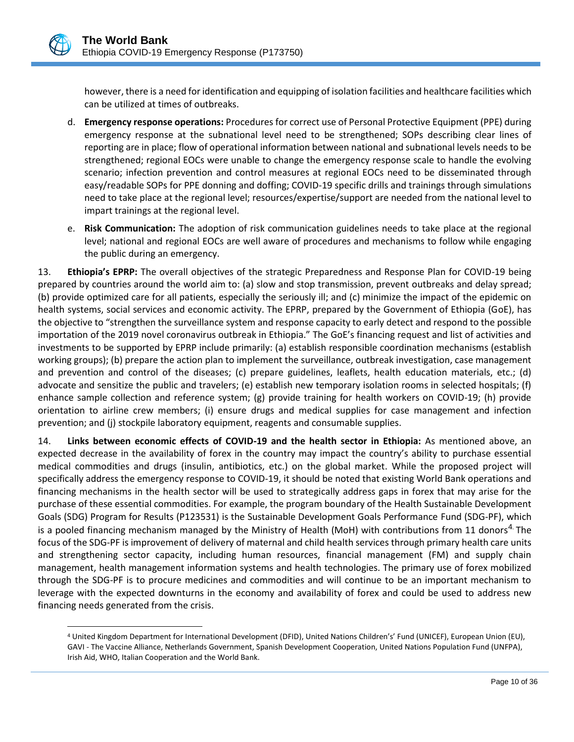

 $\overline{a}$ 

however, there is a need for identification and equipping of isolation facilities and healthcare facilities which can be utilized at times of outbreaks.

- d. **Emergency response operations:** Procedures for correct use of Personal Protective Equipment (PPE) during emergency response at the subnational level need to be strengthened; SOPs describing clear lines of reporting are in place; flow of operational information between national and subnational levels needs to be strengthened; regional EOCs were unable to change the emergency response scale to handle the evolving scenario; infection prevention and control measures at regional EOCs need to be disseminated through easy/readable SOPs for PPE donning and doffing; COVID-19 specific drills and trainings through simulations need to take place at the regional level; resources/expertise/support are needed from the national level to impart trainings at the regional level.
- e. **Risk Communication:** The adoption of risk communication guidelines needs to take place at the regional level; national and regional EOCs are well aware of procedures and mechanisms to follow while engaging the public during an emergency.

13. **Ethiopia's EPRP:** The overall objectives of the strategic Preparedness and Response Plan for COVID-19 being prepared by countries around the world aim to: (a) slow and stop transmission, prevent outbreaks and delay spread; (b) provide optimized care for all patients, especially the seriously ill; and (c) minimize the impact of the epidemic on health systems, social services and economic activity. The EPRP, prepared by the Government of Ethiopia (GoE), has the objective to "strengthen the surveillance system and response capacity to early detect and respond to the possible importation of the 2019 novel coronavirus outbreak in Ethiopia." The GoE's financing request and list of activities and investments to be supported by EPRP include primarily: (a) establish responsible coordination mechanisms (establish working groups); (b) prepare the action plan to implement the surveillance, outbreak investigation, case management and prevention and control of the diseases; (c) prepare guidelines, leaflets, health education materials, etc.; (d) advocate and sensitize the public and travelers; (e) establish new temporary isolation rooms in selected hospitals; (f) enhance sample collection and reference system; (g) provide training for health workers on COVID-19; (h) provide orientation to airline crew members; (i) ensure drugs and medical supplies for case management and infection prevention; and (j) stockpile laboratory equipment, reagents and consumable supplies.

14. **Links between economic effects of COVID-19 and the health sector in Ethiopia:** As mentioned above, an expected decrease in the availability of forex in the country may impact the country's ability to purchase essential medical commodities and drugs (insulin, antibiotics, etc.) on the global market. While the proposed project will specifically address the emergency response to COVID-19, it should be noted that existing World Bank operations and financing mechanisms in the health sector will be used to strategically address gaps in forex that may arise for the purchase of these essential commodities. For example, the program boundary of the Health Sustainable Development Goals (SDG) Program for Results (P123531) is the Sustainable Development Goals Performance Fund (SDG-PF), which is a pooled financing mechanism managed by the Ministry of Health (MoH) with contributions from 11 donors<sup>4</sup> The focus of the SDG-PF is improvement of delivery of maternal and child health services through primary health care units and strengthening sector capacity, including human resources, financial management (FM) and supply chain management, health management information systems and health technologies. The primary use of forex mobilized through the SDG-PF is to procure medicines and commodities and will continue to be an important mechanism to leverage with the expected downturns in the economy and availability of forex and could be used to address new financing needs generated from the crisis.

<sup>4</sup> United Kingdom Department for International Development (DFID), United Nations Children's' Fund (UNICEF), European Union (EU), GAVI - The Vaccine Alliance, Netherlands Government, Spanish Development Cooperation, United Nations Population Fund (UNFPA), Irish Aid, WHO, Italian Cooperation and the World Bank.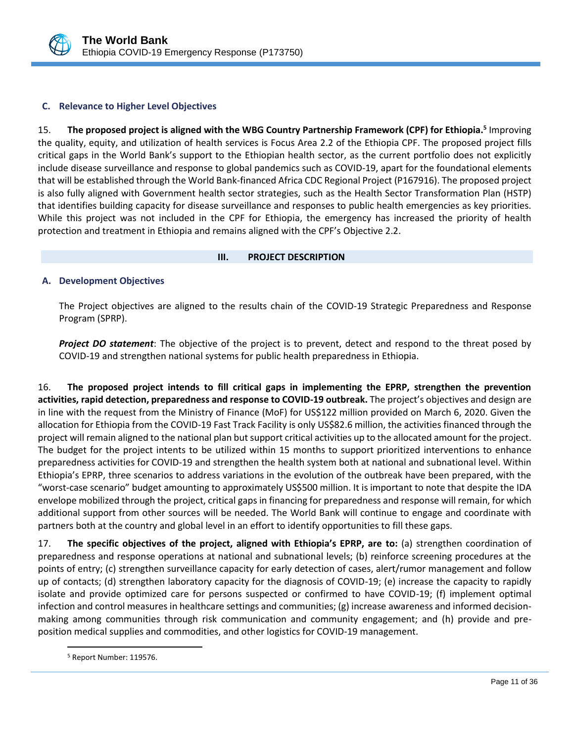

## <span id="page-15-0"></span>**C. Relevance to Higher Level Objectives**

15. **The proposed project is aligned with the WBG Country Partnership Framework (CPF) for Ethiopia. 5** Improving the quality, equity, and utilization of health services is Focus Area 2.2 of the Ethiopia CPF. The proposed project fills critical gaps in the World Bank's support to the Ethiopian health sector, as the current portfolio does not explicitly include disease surveillance and response to global pandemics such as COVID-19, apart for the foundational elements that will be established through the World Bank-financed Africa CDC Regional Project (P167916). The proposed project is also fully aligned with Government health sector strategies, such as the Health Sector Transformation Plan (HSTP) that identifies building capacity for disease surveillance and responses to public health emergencies as key priorities. While this project was not included in the CPF for Ethiopia, the emergency has increased the priority of health protection and treatment in Ethiopia and remains aligned with the CPF's Objective 2.2.

## <span id="page-15-1"></span>**III. PROJECT DESCRIPTION**

## <span id="page-15-2"></span>**A. Development Objectives**

The Project objectives are aligned to the results chain of the COVID-19 Strategic Preparedness and Response Program (SPRP).

*Project DO statement*: The objective of the project is to prevent, detect and respond to the threat posed by COVID-19 and strengthen national systems for public health preparedness in Ethiopia.

16. **The proposed project intends to fill critical gaps in implementing the EPRP, strengthen the prevention activities, rapid detection, preparedness and response to COVID-19 outbreak.** The project's objectives and design are in line with the request from the Ministry of Finance (MoF) for US\$122 million provided on March 6, 2020. Given the allocation for Ethiopia from the COVID-19 Fast Track Facility is only US\$82.6 million, the activities financed through the project will remain aligned to the national plan but support critical activities up to the allocated amount for the project. The budget for the project intents to be utilized within 15 months to support prioritized interventions to enhance preparedness activities for COVID-19 and strengthen the health system both at national and subnational level. Within Ethiopia's EPRP, three scenarios to address variations in the evolution of the outbreak have been prepared, with the "worst-case scenario" budget amounting to approximately US\$500 million. It is important to note that despite the IDA envelope mobilized through the project, critical gaps in financing for preparedness and response will remain, for which additional support from other sources will be needed. The World Bank will continue to engage and coordinate with partners both at the country and global level in an effort to identify opportunities to fill these gaps.

17. **The specific objectives of the project, aligned with Ethiopia's EPRP, are to:** (a) strengthen coordination of preparedness and response operations at national and subnational levels; (b) reinforce screening procedures at the points of entry; (c) strengthen surveillance capacity for early detection of cases, alert/rumor management and follow up of contacts; (d) strengthen laboratory capacity for the diagnosis of COVID-19; (e) increase the capacity to rapidly isolate and provide optimized care for persons suspected or confirmed to have COVID-19; (f) implement optimal infection and control measures in healthcare settings and communities; (g) increase awareness and informed decisionmaking among communities through risk communication and community engagement; and (h) provide and preposition medical supplies and commodities, and other logistics for COVID-19 management.

 $\overline{a}$ 

<sup>5</sup> Report Number: 119576.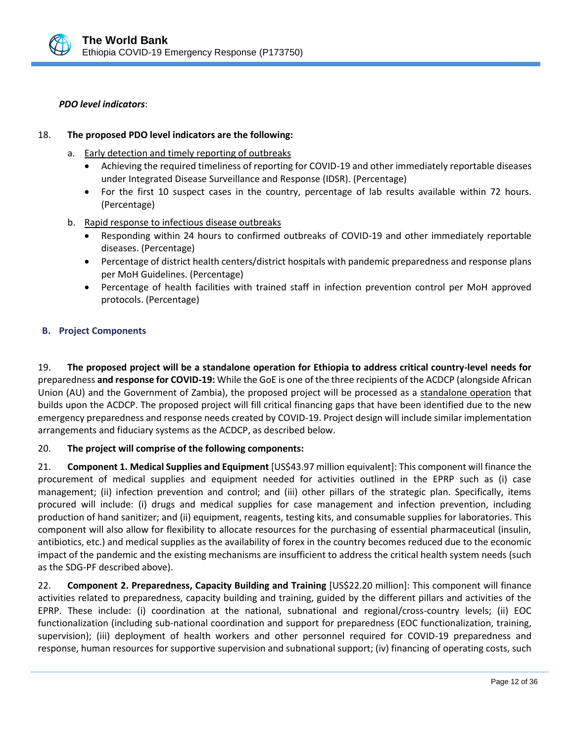#### *PDO level indicators*:

#### 18. **The proposed PDO level indicators are the following:**

- a. Early detection and timely reporting of outbreaks
	- Achieving the required timeliness of reporting for COVID-19 and other immediately reportable diseases under Integrated Disease Surveillance and Response (IDSR). (Percentage)
	- For the first 10 suspect cases in the country, percentage of lab results available within 72 hours. (Percentage)
- b. Rapid response to infectious disease outbreaks
	- Responding within 24 hours to confirmed outbreaks of COVID-19 and other immediately reportable diseases. (Percentage)
	- Percentage of district health centers/district hospitals with pandemic preparedness and response plans per MoH Guidelines. (Percentage)
	- Percentage of health facilities with trained staff in infection prevention control per MoH approved protocols. (Percentage)

#### <span id="page-16-0"></span>**B. Project Components**

19. **The proposed project will be a standalone operation for Ethiopia to address critical country-level needs for**  preparedness **and response for COVID-19:** While the GoE is one of the three recipients of the ACDCP (alongside African Union (AU) and the Government of Zambia), the proposed project will be processed as a standalone operation that builds upon the ACDCP. The proposed project will fill critical financing gaps that have been identified due to the new emergency preparedness and response needs created by COVID-19. Project design will include similar implementation arrangements and fiduciary systems as the ACDCP, as described below.

## 20. **The project will comprise of the following components:**

21. **Component 1. Medical Supplies and Equipment** [US\$43.97 million equivalent]: This component will finance the procurement of medical supplies and equipment needed for activities outlined in the EPRP such as (i) case management; (ii) infection prevention and control; and (iii) other pillars of the strategic plan. Specifically, items procured will include: (i) drugs and medical supplies for case management and infection prevention, including production of hand sanitizer; and (ii) equipment, reagents, testing kits, and consumable supplies for laboratories. This component will also allow for flexibility to allocate resources for the purchasing of essential pharmaceutical (insulin, antibiotics, etc.) and medical supplies as the availability of forex in the country becomes reduced due to the economic impact of the pandemic and the existing mechanisms are insufficient to address the critical health system needs (such as the SDG-PF described above).

22. **Component 2. Preparedness, Capacity Building and Training** [US\$22.20 million]: This component will finance activities related to preparedness, capacity building and training, guided by the different pillars and activities of the EPRP. These include: (i) coordination at the national, subnational and regional/cross-country levels; (ii) EOC functionalization (including sub-national coordination and support for preparedness (EOC functionalization, training, supervision); (iii) deployment of health workers and other personnel required for COVID-19 preparedness and response, human resources for supportive supervision and subnational support; (iv) financing of operating costs, such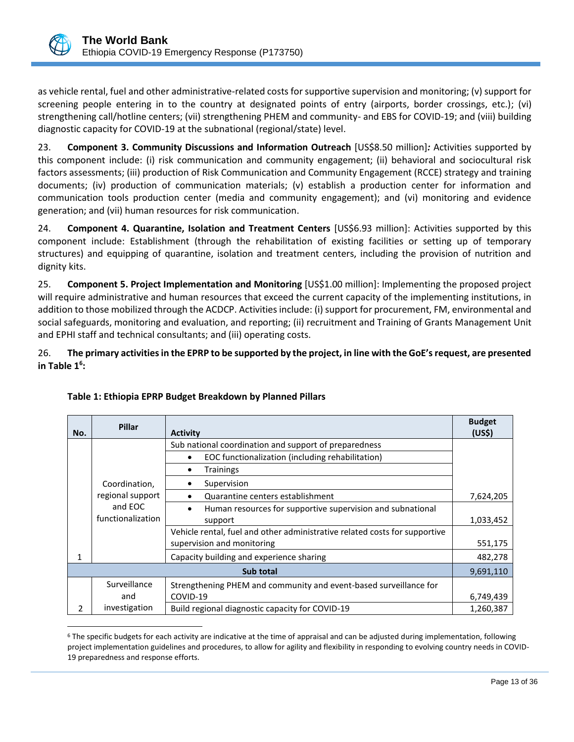

as vehicle rental, fuel and other administrative-related costs for supportive supervision and monitoring; (v) support for screening people entering in to the country at designated points of entry (airports, border crossings, etc.); (vi) strengthening call/hotline centers; (vii) strengthening PHEM and community- and EBS for COVID-19; and (viii) building diagnostic capacity for COVID-19 at the subnational (regional/state) level.

23. **Component 3. Community Discussions and Information Outreach** [US\$8.50 million]*:* Activities supported by this component include: (i) risk communication and community engagement; (ii) behavioral and sociocultural risk factors assessments; (iii) production of Risk Communication and Community Engagement (RCCE) strategy and training documents; (iv) production of communication materials; (v) establish a production center for information and communication tools production center (media and community engagement); and (vi) monitoring and evidence generation; and (vii) human resources for risk communication.

24. **Component 4. Quarantine, Isolation and Treatment Centers** [US\$6.93 million]: Activities supported by this component include: Establishment (through the rehabilitation of existing facilities or setting up of temporary structures) and equipping of quarantine, isolation and treatment centers, including the provision of nutrition and dignity kits.

25. **Component 5. Project Implementation and Monitoring** [US\$1.00 million]: Implementing the proposed project will require administrative and human resources that exceed the current capacity of the implementing institutions, in addition to those mobilized through the ACDCP. Activities include: (i) support for procurement, FM, environmental and social safeguards, monitoring and evaluation, and reporting; (ii) recruitment and Training of Grants Management Unit and EPHI staff and technical consultants; and (iii) operating costs.

26. **The primary activities in the EPRP to be supported by the project, in line with the GoE's request, are presented in Table 1<sup>6</sup> :**

| No.       | <b>Pillar</b>     | <b>Activity</b>                                                            | <b>Budget</b><br>(US <sub>5</sub> ) |
|-----------|-------------------|----------------------------------------------------------------------------|-------------------------------------|
|           |                   | Sub national coordination and support of preparedness                      |                                     |
|           |                   | EOC functionalization (including rehabilitation)<br>$\bullet$              |                                     |
|           |                   | <b>Trainings</b><br>٠                                                      |                                     |
|           | Coordination,     | Supervision                                                                |                                     |
|           | regional support  | Quarantine centers establishment<br>$\bullet$                              | 7,624,205                           |
|           | and EOC           | Human resources for supportive supervision and subnational<br>$\bullet$    |                                     |
|           | functionalization | support                                                                    |                                     |
|           |                   | Vehicle rental, fuel and other administrative related costs for supportive |                                     |
|           |                   | supervision and monitoring                                                 | 551,175                             |
| 1         |                   | Capacity building and experience sharing                                   | 482,278                             |
| Sub total |                   | 9,691,110                                                                  |                                     |
|           | Surveillance      | Strengthening PHEM and community and event-based surveillance for          |                                     |
|           | and               | COVID-19                                                                   | 6,749,439                           |
| 2         | investigation     | Build regional diagnostic capacity for COVID-19                            | 1,260,387                           |

# **Table 1: Ethiopia EPRP Budget Breakdown by Planned Pillars**

 $\overline{a}$ <sup>6</sup> The specific budgets for each activity are indicative at the time of appraisal and can be adjusted during implementation, following project implementation guidelines and procedures, to allow for agility and flexibility in responding to evolving country needs in COVID-19 preparedness and response efforts.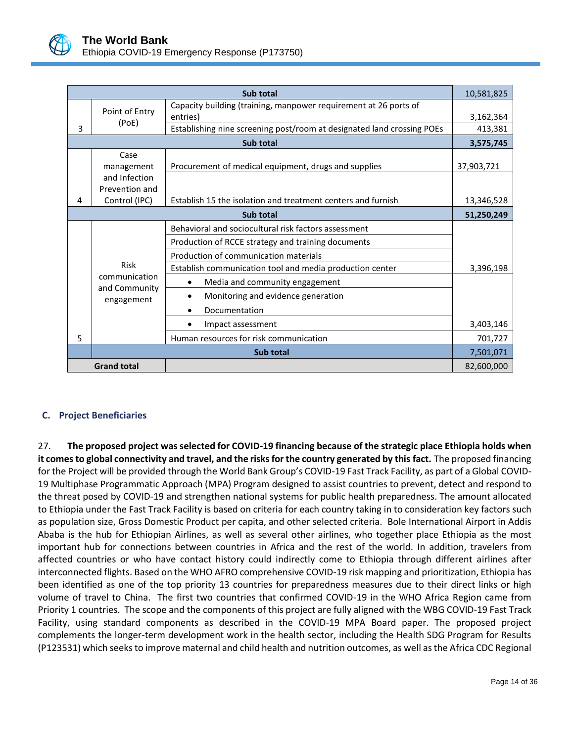

|                | Sub total                   |                                                                        |            |  |  |
|----------------|-----------------------------|------------------------------------------------------------------------|------------|--|--|
| Point of Entry |                             | Capacity building (training, manpower requirement at 26 ports of       |            |  |  |
|                | (PoE)                       | entries)                                                               | 3,162,364  |  |  |
| 3              |                             | Establishing nine screening post/room at designated land crossing POEs | 413,381    |  |  |
|                |                             | Sub total                                                              | 3,575,745  |  |  |
|                | Case                        |                                                                        |            |  |  |
|                | management                  | Procurement of medical equipment, drugs and supplies                   | 37,903,721 |  |  |
|                | and Infection               |                                                                        |            |  |  |
|                | Prevention and              |                                                                        |            |  |  |
| 4              | Control (IPC)               | Establish 15 the isolation and treatment centers and furnish           | 13,346,528 |  |  |
| Sub total      |                             |                                                                        |            |  |  |
|                |                             | Behavioral and sociocultural risk factors assessment                   |            |  |  |
|                |                             | Production of RCCE strategy and training documents                     |            |  |  |
|                |                             | Production of communication materials                                  |            |  |  |
|                | <b>Risk</b>                 | Establish communication tool and media production center               | 3,396,198  |  |  |
|                | communication               | Media and community engagement<br>$\bullet$                            |            |  |  |
|                | and Community<br>engagement | Monitoring and evidence generation<br>$\bullet$                        |            |  |  |
|                |                             | Documentation                                                          |            |  |  |
|                |                             | Impact assessment                                                      | 3,403,146  |  |  |
| 5              |                             | Human resources for risk communication                                 | 701,727    |  |  |
|                |                             | Sub total                                                              | 7,501,071  |  |  |
|                | <b>Grand total</b>          |                                                                        | 82,600,000 |  |  |

## <span id="page-18-0"></span>**C. Project Beneficiaries**

27. **The proposed project was selected for COVID-19 financing because of the strategic place Ethiopia holds when it comesto global connectivity and travel, and the risks for the country generated by this fact.** The proposed financing for the Project will be provided through the World Bank Group's COVID-19 Fast Track Facility, as part of a Global COVID-19 Multiphase Programmatic Approach (MPA) Program designed to assist countries to prevent, detect and respond to the threat posed by COVID-19 and strengthen national systems for public health preparedness. The amount allocated to Ethiopia under the Fast Track Facility is based on criteria for each country taking in to consideration key factors such as population size, Gross Domestic Product per capita, and other selected criteria. Bole International Airport in Addis Ababa is the hub for Ethiopian Airlines, as well as several other airlines, who together place Ethiopia as the most important hub for connections between countries in Africa and the rest of the world. In addition, travelers from affected countries or who have contact history could indirectly come to Ethiopia through different airlines after interconnected flights. Based on the WHO AFRO comprehensive COVID-19 risk mapping and prioritization, Ethiopia has been identified as one of the top priority 13 countries for preparedness measures due to their direct links or high volume of travel to China. The first two countries that confirmed COVID-19 in the WHO Africa Region came from Priority 1 countries. The scope and the components of this project are fully aligned with the WBG COVID-19 Fast Track Facility, using standard components as described in the COVID-19 MPA Board paper. The proposed project complements the longer-term development work in the health sector, including the Health SDG Program for Results (P123531) which seeks to improve maternal and child health and nutrition outcomes, as well as the Africa CDC Regional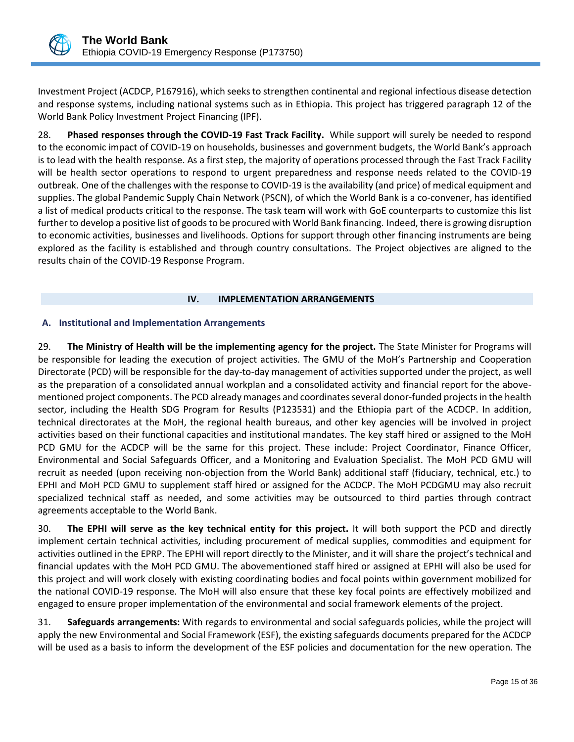Investment Project (ACDCP, P167916), which seeks to strengthen continental and regional infectious disease detection and response systems, including national systems such as in Ethiopia. This project has triggered paragraph 12 of the World Bank Policy Investment Project Financing (IPF).

28. **Phased responses through the COVID-19 Fast Track Facility.** While support will surely be needed to respond to the economic impact of COVID-19 on households, businesses and government budgets, the World Bank's approach is to lead with the health response. As a first step, the majority of operations processed through the Fast Track Facility will be health sector operations to respond to urgent preparedness and response needs related to the COVID-19 outbreak. One of the challenges with the response to COVID-19 is the availability (and price) of medical equipment and supplies. The global Pandemic Supply Chain Network (PSCN), of which the World Bank is a co-convener, has identified a list of medical products critical to the response. The task team will work with GoE counterparts to customize this list further to develop a positive list of goods to be procured with World Bank financing. Indeed, there is growing disruption to economic activities, businesses and livelihoods. Options for support through other financing instruments are being explored as the facility is established and through country consultations. The Project objectives are aligned to the results chain of the COVID-19 Response Program.

#### <span id="page-19-0"></span>**IV. IMPLEMENTATION ARRANGEMENTS**

#### <span id="page-19-1"></span>**A. Institutional and Implementation Arrangements**

29. **The Ministry of Health will be the implementing agency for the project.** The State Minister for Programs will be responsible for leading the execution of project activities. The GMU of the MoH's Partnership and Cooperation Directorate (PCD) will be responsible for the day-to-day management of activities supported under the project, as well as the preparation of a consolidated annual workplan and a consolidated activity and financial report for the abovementioned project components. The PCD already manages and coordinates several donor-funded projects in the health sector, including the Health SDG Program for Results (P123531) and the Ethiopia part of the ACDCP. In addition, technical directorates at the MoH, the regional health bureaus, and other key agencies will be involved in project activities based on their functional capacities and institutional mandates. The key staff hired or assigned to the MoH PCD GMU for the ACDCP will be the same for this project. These include: Project Coordinator, Finance Officer, Environmental and Social Safeguards Officer, and a Monitoring and Evaluation Specialist. The MoH PCD GMU will recruit as needed (upon receiving non-objection from the World Bank) additional staff (fiduciary, technical, etc.) to EPHI and MoH PCD GMU to supplement staff hired or assigned for the ACDCP. The MoH PCDGMU may also recruit specialized technical staff as needed, and some activities may be outsourced to third parties through contract agreements acceptable to the World Bank.

30. **The EPHI will serve as the key technical entity for this project.** It will both support the PCD and directly implement certain technical activities, including procurement of medical supplies, commodities and equipment for activities outlined in the EPRP. The EPHI will report directly to the Minister, and it will share the project's technical and financial updates with the MoH PCD GMU. The abovementioned staff hired or assigned at EPHI will also be used for this project and will work closely with existing coordinating bodies and focal points within government mobilized for the national COVID-19 response. The MoH will also ensure that these key focal points are effectively mobilized and engaged to ensure proper implementation of the environmental and social framework elements of the project.

31. **Safeguards arrangements:** With regards to environmental and social safeguards policies, while the project will apply the new Environmental and Social Framework (ESF), the existing safeguards documents prepared for the ACDCP will be used as a basis to inform the development of the ESF policies and documentation for the new operation. The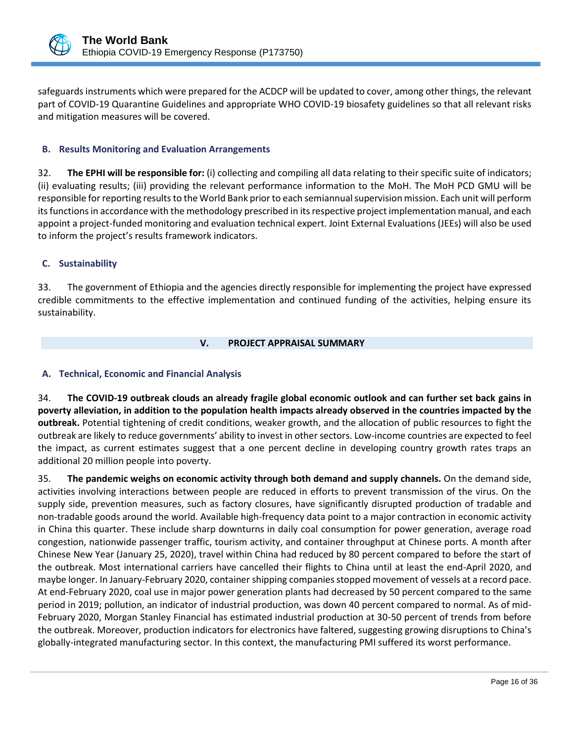

safeguards instruments which were prepared for the ACDCP will be updated to cover, among other things, the relevant part of COVID-19 Quarantine Guidelines and appropriate WHO COVID-19 biosafety guidelines so that all relevant risks and mitigation measures will be covered.

## <span id="page-20-0"></span>**B. Results Monitoring and Evaluation Arrangements**

32. **The EPHI will be responsible for:** (i) collecting and compiling all data relating to their specific suite of indicators; (ii) evaluating results; (iii) providing the relevant performance information to the MoH. The MoH PCD GMU will be responsible forreporting results to the World Bank prior to each semiannual supervision mission. Each unit will perform its functions in accordance with the methodology prescribed in its respective project implementation manual, and each appoint a project-funded monitoring and evaluation technical expert. Joint External Evaluations (JEEs) will also be used to inform the project's results framework indicators.

## <span id="page-20-1"></span>**C. Sustainability**

33. The government of Ethiopia and the agencies directly responsible for implementing the project have expressed credible commitments to the effective implementation and continued funding of the activities, helping ensure its sustainability.

#### <span id="page-20-2"></span>**V. PROJECT APPRAISAL SUMMARY**

## <span id="page-20-3"></span>**A. Technical, Economic and Financial Analysis**

34. **The COVID-19 outbreak clouds an already fragile global economic outlook and can further set back gains in poverty alleviation, in addition to the population health impacts already observed in the countries impacted by the outbreak.** Potential tightening of credit conditions, weaker growth, and the allocation of public resources to fight the outbreak are likely to reduce governments' ability to invest in other sectors. Low-income countries are expected to feel the impact, as current estimates suggest that a one percent decline in developing country growth rates traps an additional 20 million people into poverty.

35. **The pandemic weighs on economic activity through both demand and supply channels.** On the demand side, activities involving interactions between people are reduced in efforts to prevent transmission of the virus. On the supply side, prevention measures, such as factory closures, have significantly disrupted production of tradable and non-tradable goods around the world. Available high-frequency data point to a major contraction in economic activity in China this quarter. These include sharp downturns in daily coal consumption for power generation, average road congestion, nationwide passenger traffic, tourism activity, and container throughput at Chinese ports. A month after Chinese New Year (January 25, 2020), travel within China had reduced by 80 percent compared to before the start of the outbreak. Most international carriers have cancelled their flights to China until at least the end-April 2020, and maybe longer. In January-February 2020, container shipping companies stopped movement of vessels at a record pace. At end-February 2020, coal use in major power generation plants had decreased by 50 percent compared to the same period in 2019; pollution, an indicator of industrial production, was down 40 percent compared to normal. As of mid-February 2020, Morgan Stanley Financial has estimated industrial production at 30-50 percent of trends from before the outbreak. Moreover, production indicators for electronics have faltered, suggesting growing disruptions to China's globally-integrated manufacturing sector. In this context, the manufacturing PMI suffered its worst performance.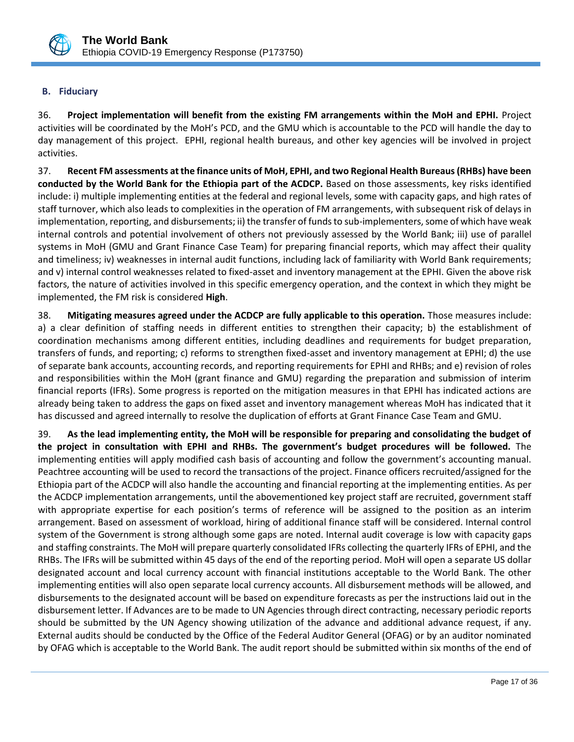

## <span id="page-21-0"></span>**B. Fiduciary**

36. **Project implementation will benefit from the existing FM arrangements within the MoH and EPHI.** Project activities will be coordinated by the MoH's PCD, and the GMU which is accountable to the PCD will handle the day to day management of this project. EPHI, regional health bureaus, and other key agencies will be involved in project activities.

37. **Recent FM assessments at the finance units of MoH, EPHI, and two Regional Health Bureaus (RHBs) have been conducted by the World Bank for the Ethiopia part of the ACDCP.** Based on those assessments, key risks identified include: i) multiple implementing entities at the federal and regional levels, some with capacity gaps, and high rates of staff turnover, which also leads to complexities in the operation of FM arrangements, with subsequent risk of delays in implementation, reporting, and disbursements; ii) the transfer of funds to sub-implementers, some of which have weak internal controls and potential involvement of others not previously assessed by the World Bank; iii) use of parallel systems in MoH (GMU and Grant Finance Case Team) for preparing financial reports, which may affect their quality and timeliness; iv) weaknesses in internal audit functions, including lack of familiarity with World Bank requirements; and v) internal control weaknesses related to fixed-asset and inventory management at the EPHI. Given the above risk factors, the nature of activities involved in this specific emergency operation, and the context in which they might be implemented, the FM risk is considered **High**.

38. **Mitigating measures agreed under the ACDCP are fully applicable to this operation.** Those measures include: a) a clear definition of staffing needs in different entities to strengthen their capacity; b) the establishment of coordination mechanisms among different entities, including deadlines and requirements for budget preparation, transfers of funds, and reporting; c) reforms to strengthen fixed-asset and inventory management at EPHI; d) the use of separate bank accounts, accounting records, and reporting requirements for EPHI and RHBs; and e) revision of roles and responsibilities within the MoH (grant finance and GMU) regarding the preparation and submission of interim financial reports (IFRs). Some progress is reported on the mitigation measures in that EPHI has indicated actions are already being taken to address the gaps on fixed asset and inventory management whereas MoH has indicated that it has discussed and agreed internally to resolve the duplication of efforts at Grant Finance Case Team and GMU.

39. **As the lead implementing entity, the MoH will be responsible for preparing and consolidating the budget of the project in consultation with EPHI and RHBs. The government's budget procedures will be followed.** The implementing entities will apply modified cash basis of accounting and follow the government's accounting manual. Peachtree accounting will be used to record the transactions of the project. Finance officers recruited/assigned for the Ethiopia part of the ACDCP will also handle the accounting and financial reporting at the implementing entities. As per the ACDCP implementation arrangements, until the abovementioned key project staff are recruited, government staff with appropriate expertise for each position's terms of reference will be assigned to the position as an interim arrangement. Based on assessment of workload, hiring of additional finance staff will be considered. Internal control system of the Government is strong although some gaps are noted. Internal audit coverage is low with capacity gaps and staffing constraints. The MoH will prepare quarterly consolidated IFRs collecting the quarterly IFRs of EPHI, and the RHBs. The IFRs will be submitted within 45 days of the end of the reporting period. MoH will open a separate US dollar designated account and local currency account with financial institutions acceptable to the World Bank. The other implementing entities will also open separate local currency accounts. All disbursement methods will be allowed, and disbursements to the designated account will be based on expenditure forecasts as per the instructions laid out in the disbursement letter. If Advances are to be made to UN Agencies through direct contracting, necessary periodic reports should be submitted by the UN Agency showing utilization of the advance and additional advance request, if any. External audits should be conducted by the Office of the Federal Auditor General (OFAG) or by an auditor nominated by OFAG which is acceptable to the World Bank. The audit report should be submitted within six months of the end of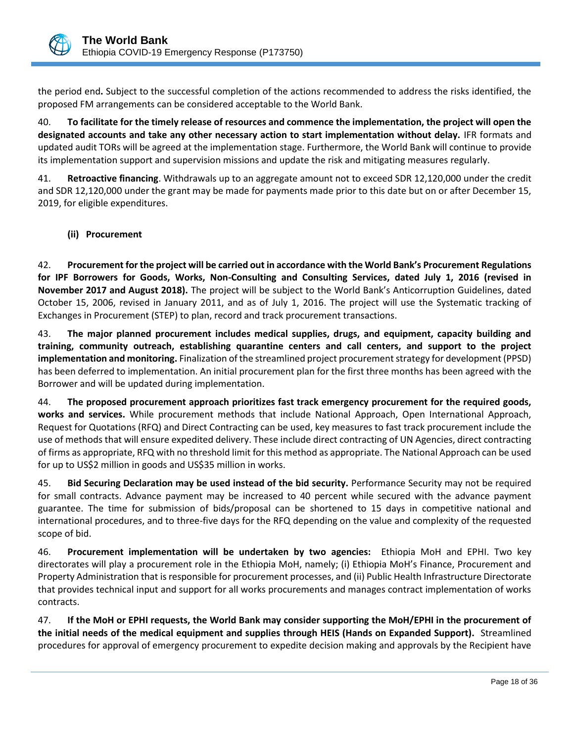

the period end**.** Subject to the successful completion of the actions recommended to address the risks identified, the proposed FM arrangements can be considered acceptable to the World Bank.

40. **To facilitate for the timely release of resources and commence the implementation, the project will open the designated accounts and take any other necessary action to start implementation without delay.** IFR formats and updated audit TORs will be agreed at the implementation stage. Furthermore, the World Bank will continue to provide its implementation support and supervision missions and update the risk and mitigating measures regularly.

41. **Retroactive financing**. Withdrawals up to an aggregate amount not to exceed SDR 12,120,000 under the credit and SDR 12,120,000 under the grant may be made for payments made prior to this date but on or after December 15, 2019, for eligible expenditures.

**(ii) Procurement**

42. **Procurement for the project will be carried out in accordance with the World Bank's Procurement Regulations for IPF Borrowers for Goods, Works, Non-Consulting and Consulting Services, dated July 1, 2016 (revised in November 2017 and August 2018).** The project will be subject to the World Bank's Anticorruption Guidelines, dated October 15, 2006, revised in January 2011, and as of July 1, 2016. The project will use the Systematic tracking of Exchanges in Procurement (STEP) to plan, record and track procurement transactions.

43. **The major planned procurement includes medical supplies, drugs, and equipment, capacity building and training, community outreach, establishing quarantine centers and call centers, and support to the project implementation and monitoring.** Finalization of the streamlined project procurement strategy for development (PPSD) has been deferred to implementation. An initial procurement plan for the first three months has been agreed with the Borrower and will be updated during implementation.

44. **The proposed procurement approach prioritizes fast track emergency procurement for the required goods, works and services.** While procurement methods that include National Approach, Open International Approach, Request for Quotations (RFQ) and Direct Contracting can be used, key measures to fast track procurement include the use of methods that will ensure expedited delivery. These include direct contracting of UN Agencies, direct contracting of firms as appropriate, RFQ with no threshold limit for this method as appropriate. The National Approach can be used for up to US\$2 million in goods and US\$35 million in works.

45. **Bid Securing Declaration may be used instead of the bid security.** Performance Security may not be required for small contracts. Advance payment may be increased to 40 percent while secured with the advance payment guarantee. The time for submission of bids/proposal can be shortened to 15 days in competitive national and international procedures, and to three-five days for the RFQ depending on the value and complexity of the requested scope of bid.

46. **Procurement implementation will be undertaken by two agencies:** Ethiopia MoH and EPHI. Two key directorates will play a procurement role in the Ethiopia MoH, namely; (i) Ethiopia MoH's Finance, Procurement and Property Administration that is responsible for procurement processes, and (ii) Public Health Infrastructure Directorate that provides technical input and support for all works procurements and manages contract implementation of works contracts.

47. **If the MoH or EPHI requests, the World Bank may consider supporting the MoH/EPHI in the procurement of the initial needs of the medical equipment and supplies through HEIS (Hands on Expanded Support).** Streamlined procedures for approval of emergency procurement to expedite decision making and approvals by the Recipient have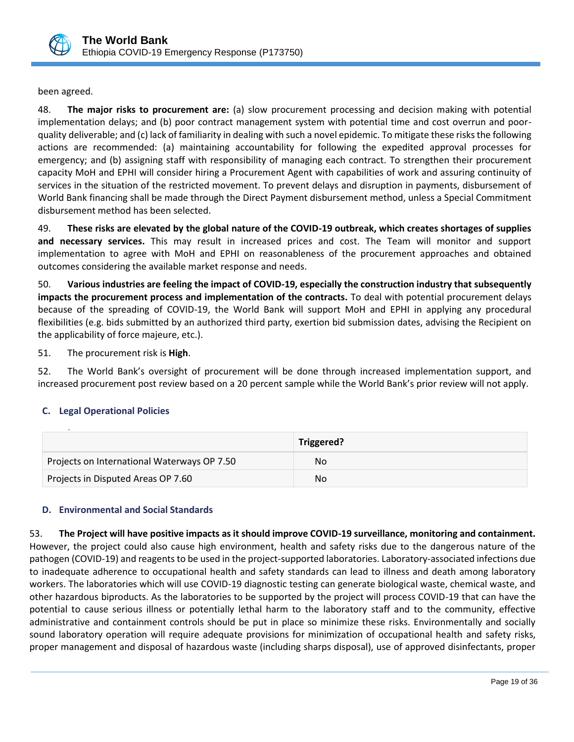

been agreed.

48. **The major risks to procurement are:** (a) slow procurement processing and decision making with potential implementation delays; and (b) poor contract management system with potential time and cost overrun and poorquality deliverable; and (c) lack of familiarity in dealing with such a novel epidemic. To mitigate these risks the following actions are recommended: (a) maintaining accountability for following the expedited approval processes for emergency; and (b) assigning staff with responsibility of managing each contract. To strengthen their procurement capacity MoH and EPHI will consider hiring a Procurement Agent with capabilities of work and assuring continuity of services in the situation of the restricted movement. To prevent delays and disruption in payments, disbursement of World Bank financing shall be made through the Direct Payment disbursement method, unless a Special Commitment disbursement method has been selected.

49. **These risks are elevated by the global nature of the COVID-19 outbreak, which creates shortages of supplies and necessary services.** This may result in increased prices and cost. The Team will monitor and support implementation to agree with MoH and EPHI on reasonableness of the procurement approaches and obtained outcomes considering the available market response and needs.

50. **Various industries are feeling the impact of COVID-19, especially the construction industry that subsequently impacts the procurement process and implementation of the contracts.** To deal with potential procurement delays because of the spreading of COVID-19, the World Bank will support MoH and EPHI in applying any procedural flexibilities (e.g. bids submitted by an authorized third party, exertion bid submission dates, advising the Recipient on the applicability of force majeure, etc.).

51. The procurement risk is **High**.

52. The World Bank's oversight of procurement will be done through increased implementation support, and increased procurement post review based on a 20 percent sample while the World Bank's prior review will not apply.

## <span id="page-23-0"></span>**C. Legal Operational Policies**

|                                             | Triggered? |
|---------------------------------------------|------------|
| Projects on International Waterways OP 7.50 | Nο         |
| Projects in Disputed Areas OP 7.60          | Nο         |

# <span id="page-23-1"></span>**D. Environmental and Social Standards**

53. **The Project will have positive impacts as it should improve COVID-19 surveillance, monitoring and containment.**  However, the project could also cause high environment, health and safety risks due to the dangerous nature of the pathogen (COVID-19) and reagents to be used in the project-supported laboratories. Laboratory-associated infections due to inadequate adherence to occupational health and safety standards can lead to illness and death among laboratory workers. The laboratories which will use COVID-19 diagnostic testing can generate biological waste, chemical waste, and other hazardous biproducts. As the laboratories to be supported by the project will process COVID-19 that can have the potential to cause serious illness or potentially lethal harm to the laboratory staff and to the community, effective administrative and containment controls should be put in place so minimize these risks. Environmentally and socially sound laboratory operation will require adequate provisions for minimization of occupational health and safety risks, proper management and disposal of hazardous waste (including sharps disposal), use of approved disinfectants, proper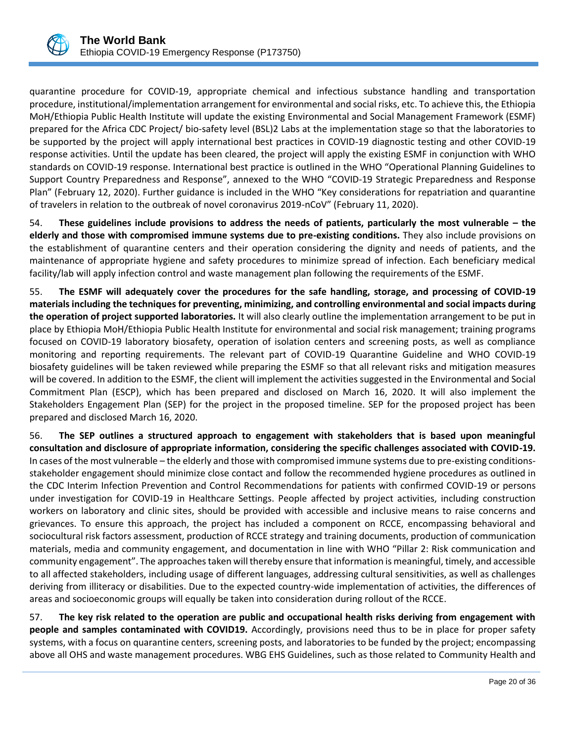

quarantine procedure for COVID-19, appropriate chemical and infectious substance handling and transportation procedure, institutional/implementation arrangement for environmental and social risks, etc. To achieve this, the Ethiopia MoH/Ethiopia Public Health Institute will update the existing Environmental and Social Management Framework (ESMF) prepared for the Africa CDC Project/ bio-safety level (BSL)2 Labs at the implementation stage so that the laboratories to be supported by the project will apply international best practices in COVID-19 diagnostic testing and other COVID-19 response activities. Until the update has been cleared, the project will apply the existing ESMF in conjunction with WHO standards on COVID-19 response. International best practice is outlined in the WHO "Operational Planning Guidelines to Support Country Preparedness and Response", annexed to the WHO "COVID-19 Strategic Preparedness and Response Plan" (February 12, 2020). Further guidance is included in the WHO "Key considerations for repatriation and quarantine of travelers in relation to the outbreak of novel coronavirus 2019-nCoV" (February 11, 2020).

54. **These guidelines include provisions to address the needs of patients, particularly the most vulnerable – the elderly and those with compromised immune systems due to pre-existing conditions.** They also include provisions on the establishment of quarantine centers and their operation considering the dignity and needs of patients, and the maintenance of appropriate hygiene and safety procedures to minimize spread of infection. Each beneficiary medical facility/lab will apply infection control and waste management plan following the requirements of the ESMF.

55. **The ESMF will adequately cover the procedures for the safe handling, storage, and processing of COVID-19 materials including the techniques for preventing, minimizing, and controlling environmental and social impacts during the operation of project supported laboratories.** It will also clearly outline the implementation arrangement to be put in place by Ethiopia MoH/Ethiopia Public Health Institute for environmental and social risk management; training programs focused on COVID-19 laboratory biosafety, operation of isolation centers and screening posts, as well as compliance monitoring and reporting requirements. The relevant part of COVID-19 Quarantine Guideline and WHO COVID-19 biosafety guidelines will be taken reviewed while preparing the ESMF so that all relevant risks and mitigation measures will be covered. In addition to the ESMF, the client will implement the activities suggested in the Environmental and Social Commitment Plan (ESCP), which has been prepared and disclosed on March 16, 2020. It will also implement the Stakeholders Engagement Plan (SEP) for the project in the proposed timeline. SEP for the proposed project has been prepared and disclosed March 16, 2020.

56. **The SEP outlines a structured approach to engagement with stakeholders that is based upon meaningful consultation and disclosure of appropriate information, considering the specific challenges associated with COVID-19.**  In cases of the most vulnerable – the elderly and those with compromised immune systems due to pre-existing conditionsstakeholder engagement should minimize close contact and follow the recommended hygiene procedures as outlined in the CDC Interim Infection Prevention and Control Recommendations for patients with confirmed COVID-19 or persons under investigation for COVID-19 in Healthcare Settings. People affected by project activities, including construction workers on laboratory and clinic sites, should be provided with accessible and inclusive means to raise concerns and grievances. To ensure this approach, the project has included a component on RCCE, encompassing behavioral and sociocultural risk factors assessment, production of RCCE strategy and training documents, production of communication materials, media and community engagement, and documentation in line with WHO "Pillar 2: Risk communication and community engagement". The approaches taken will thereby ensure that information is meaningful, timely, and accessible to all affected stakeholders, including usage of different languages, addressing cultural sensitivities, as well as challenges deriving from illiteracy or disabilities. Due to the expected country-wide implementation of activities, the differences of areas and socioeconomic groups will equally be taken into consideration during rollout of the RCCE.

57. **The key risk related to the operation are public and occupational health risks deriving from engagement with people and samples contaminated with COVID19.** Accordingly, provisions need thus to be in place for proper safety systems, with a focus on quarantine centers, screening posts, and laboratories to be funded by the project; encompassing above all OHS and waste management procedures. WBG EHS Guidelines, such as those related to Community Health and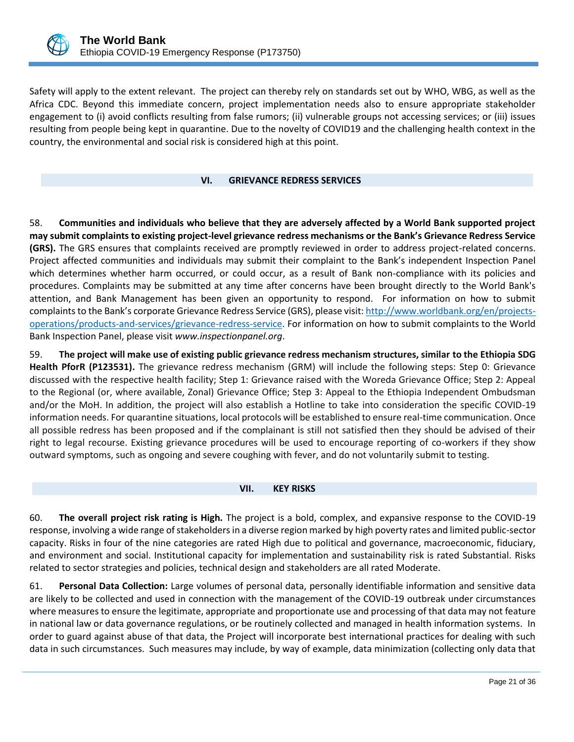Safety will apply to the extent relevant. The project can thereby rely on standards set out by WHO, WBG, as well as the Africa CDC. Beyond this immediate concern, project implementation needs also to ensure appropriate stakeholder engagement to (i) avoid conflicts resulting from false rumors; (ii) vulnerable groups not accessing services; or (iii) issues resulting from people being kept in quarantine. Due to the novelty of COVID19 and the challenging health context in the country, the environmental and social risk is considered high at this point.

# <span id="page-25-0"></span>**VI. GRIEVANCE REDRESS SERVICES**

58. **Communities and individuals who believe that they are adversely affected by a World Bank supported project may submit complaints to existing project-level grievance redress mechanisms or the Bank's Grievance Redress Service (GRS).** The GRS ensures that complaints received are promptly reviewed in order to address project-related concerns. Project affected communities and individuals may submit their complaint to the Bank's independent Inspection Panel which determines whether harm occurred, or could occur, as a result of Bank non-compliance with its policies and procedures. Complaints may be submitted at any time after concerns have been brought directly to the World Bank's attention, and Bank Management has been given an opportunity to respond. For information on how to submit complaints to the Bank's corporate Grievance Redress Service (GRS), please visit: [http://www.worldbank.org/en/projects](http://www.worldbank.org/en/projects-operations/products-and-services/grievance-redress-service)[operations/products-and-services/grievance-redress-service.](http://www.worldbank.org/en/projects-operations/products-and-services/grievance-redress-service) For information on how to submit complaints to the World Bank Inspection Panel, please visit *[www.inspectionpanel.org](http://www.inspectionpanel.org/)*.

59. **The project will make use of existing public grievance redress mechanism structures, similar to the Ethiopia SDG Health PforR (P123531).** The grievance redress mechanism (GRM) will include the following steps: Step 0: Grievance discussed with the respective health facility; Step 1: Grievance raised with the Woreda Grievance Office; Step 2: Appeal to the Regional (or, where available, Zonal) Grievance Office; Step 3: Appeal to the Ethiopia Independent Ombudsman and/or the MoH. In addition, the project will also establish a Hotline to take into consideration the specific COVID-19 information needs. For quarantine situations, local protocols will be established to ensure real-time communication. Once all possible redress has been proposed and if the complainant is still not satisfied then they should be advised of their right to legal recourse. Existing grievance procedures will be used to encourage reporting of co-workers if they show outward symptoms, such as ongoing and severe coughing with fever, and do not voluntarily submit to testing.

## <span id="page-25-1"></span>**VII. KEY RISKS**

60. **The overall project risk rating is High.** The project is a bold, complex, and expansive response to the COVID-19 response, involving a wide range of stakeholders in a diverse region marked by high poverty rates and limited public-sector capacity. Risks in four of the nine categories are rated High due to political and governance, macroeconomic, fiduciary, and environment and social. Institutional capacity for implementation and sustainability risk is rated Substantial. Risks related to sector strategies and policies, technical design and stakeholders are all rated Moderate.

61. **Personal Data Collection:** Large volumes of personal data, personally identifiable information and sensitive data are likely to be collected and used in connection with the management of the COVID-19 outbreak under circumstances where measures to ensure the legitimate, appropriate and proportionate use and processing of that data may not feature in national law or data governance regulations, or be routinely collected and managed in health information systems. In order to guard against abuse of that data, the Project will incorporate best international practices for dealing with such data in such circumstances. Such measures may include, by way of example, data minimization (collecting only data that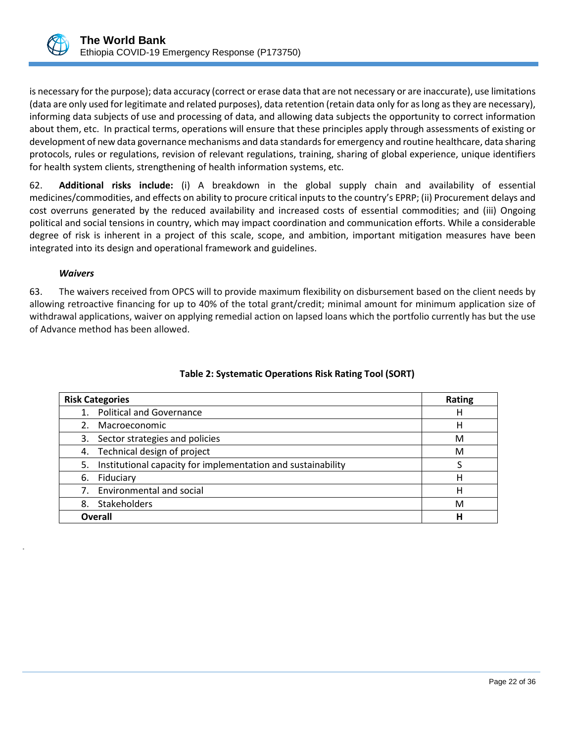is necessary for the purpose); data accuracy (correct or erase data that are not necessary or are inaccurate), use limitations (data are only used for legitimate and related purposes), data retention (retain data only for as long as they are necessary), informing data subjects of use and processing of data, and allowing data subjects the opportunity to correct information about them, etc. In practical terms, operations will ensure that these principles apply through assessments of existing or development of new data governance mechanisms and data standards for emergency and routine healthcare, data sharing protocols, rules or regulations, revision of relevant regulations, training, sharing of global experience, unique identifiers for health system clients, strengthening of health information systems, etc.

62. **Additional risks include:** (i) A breakdown in the global supply chain and availability of essential medicines/commodities, and effects on ability to procure critical inputs to the country's EPRP; (ii) Procurement delays and cost overruns generated by the reduced availability and increased costs of essential commodities; and (iii) Ongoing political and social tensions in country, which may impact coordination and communication efforts. While a considerable degree of risk is inherent in a project of this scale, scope, and ambition, important mitigation measures have been integrated into its design and operational framework and guidelines.

#### *Waivers*

.

63. The waivers received from OPCS will to provide maximum flexibility on disbursement based on the client needs by allowing retroactive financing for up to 40% of the total grant/credit; minimal amount for minimum application size of withdrawal applications, waiver on applying remedial action on lapsed loans which the portfolio currently has but the use of Advance method has been allowed.

| <b>Risk Categories</b>                                             | <b>Rating</b> |
|--------------------------------------------------------------------|---------------|
| <b>Political and Governance</b>                                    | н             |
| Macroeconomic                                                      | н             |
| 3. Sector strategies and policies                                  | M             |
| 4. Technical design of project                                     | M             |
| Institutional capacity for implementation and sustainability<br>5. |               |
| Fiduciary<br>6.                                                    | Н             |
| <b>Environmental and social</b>                                    | н             |
| Stakeholders<br>8.                                                 | М             |
| Overall                                                            | Н             |

# **Table 2: Systematic Operations Risk Rating Tool (SORT)**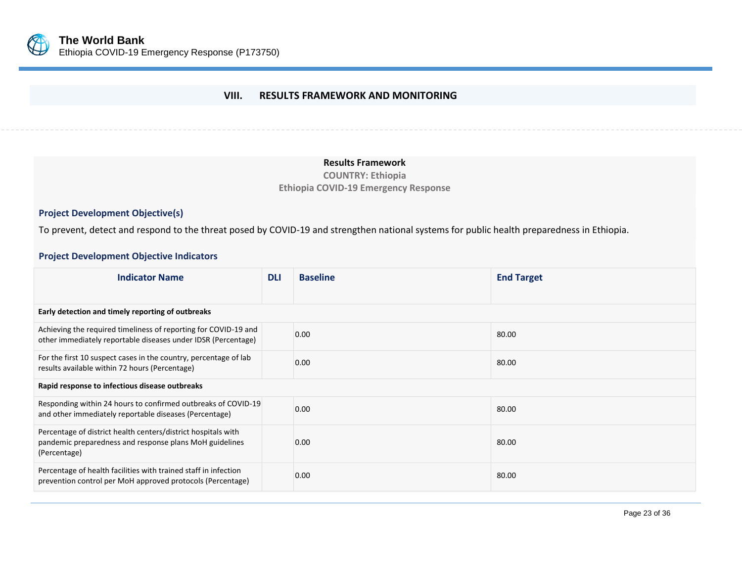

# **VIII. RESULTS FRAMEWORK AND MONITORING**

#### **Results Framework**

**COUNTRY: Ethiopia Ethiopia COVID-19 Emergency Response**

# **Project Development Objective(s)**

To prevent, detect and respond to the threat posed by COVID-19 and strengthen national systems for public health preparedness in Ethiopia.

# <span id="page-27-0"></span>**Project Development Objective Indicators**

| <b>Indicator Name</b>                                                                                                                    | <b>DLI</b> | <b>Baseline</b> | <b>End Target</b> |
|------------------------------------------------------------------------------------------------------------------------------------------|------------|-----------------|-------------------|
|                                                                                                                                          |            |                 |                   |
| Early detection and timely reporting of outbreaks                                                                                        |            |                 |                   |
| Achieving the required timeliness of reporting for COVID-19 and<br>other immediately reportable diseases under IDSR (Percentage)         |            | 0.00            | 80.00             |
| For the first 10 suspect cases in the country, percentage of lab<br>results available within 72 hours (Percentage)                       |            | 0.00            | 80.00             |
| Rapid response to infectious disease outbreaks                                                                                           |            |                 |                   |
| Responding within 24 hours to confirmed outbreaks of COVID-19<br>and other immediately reportable diseases (Percentage)                  |            | 0.00            | 80.00             |
| Percentage of district health centers/district hospitals with<br>pandemic preparedness and response plans MoH guidelines<br>(Percentage) |            | 0.00            | 80.00             |
| Percentage of health facilities with trained staff in infection<br>prevention control per MoH approved protocols (Percentage)            |            | 0.00            | 80.00             |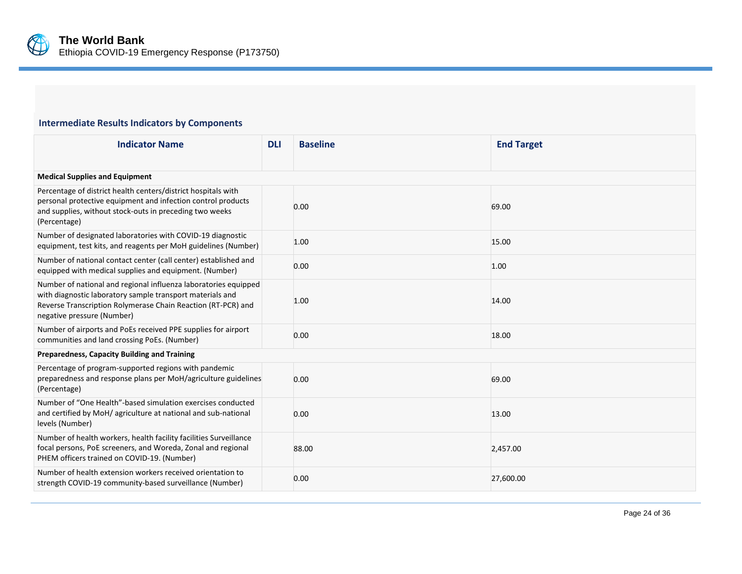

# **Intermediate Results Indicators by Components**

| <b>Indicator Name</b>                                                                                                                                                                                                      | <b>DLI</b> | <b>Baseline</b> | <b>End Target</b> |
|----------------------------------------------------------------------------------------------------------------------------------------------------------------------------------------------------------------------------|------------|-----------------|-------------------|
| <b>Medical Supplies and Equipment</b>                                                                                                                                                                                      |            |                 |                   |
| Percentage of district health centers/district hospitals with<br>personal protective equipment and infection control products<br>and supplies, without stock-outs in preceding two weeks<br>(Percentage)                   |            | 0.00            | 69.00             |
| Number of designated laboratories with COVID-19 diagnostic<br>equipment, test kits, and reagents per MoH guidelines (Number)                                                                                               |            | 1.00            | 15.00             |
| Number of national contact center (call center) established and<br>equipped with medical supplies and equipment. (Number)                                                                                                  |            | 0.00            | 1.00              |
| Number of national and regional influenza laboratories equipped<br>with diagnostic laboratory sample transport materials and<br>Reverse Transcription Rolymerase Chain Reaction (RT-PCR) and<br>negative pressure (Number) |            | 1.00            | 14.00             |
| Number of airports and PoEs received PPE supplies for airport<br>communities and land crossing PoEs. (Number)                                                                                                              |            | 0.00            | 18.00             |
| Preparedness, Capacity Building and Training                                                                                                                                                                               |            |                 |                   |
| Percentage of program-supported regions with pandemic<br>preparedness and response plans per MoH/agriculture guidelines<br>(Percentage)                                                                                    |            | 0.00            | 69.00             |
| Number of "One Health"-based simulation exercises conducted<br>and certified by MoH/ agriculture at national and sub-national<br>levels (Number)                                                                           |            | 0.00            | 13.00             |
| Number of health workers, health facility facilities Surveillance<br>focal persons, PoE screeners, and Woreda, Zonal and regional<br>PHEM officers trained on COVID-19. (Number)                                           |            | 88.00           | 2,457.00          |
| Number of health extension workers received orientation to<br>strength COVID-19 community-based surveillance (Number)                                                                                                      |            | 0.00            | 27,600.00         |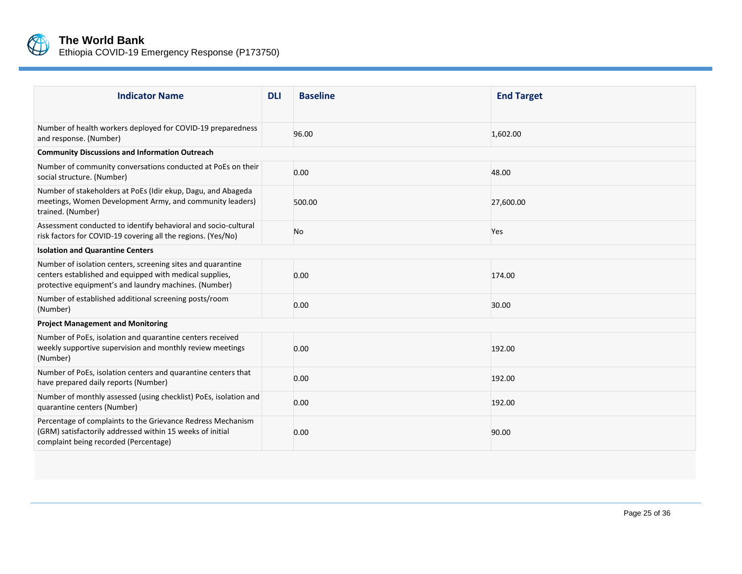

| <b>Indicator Name</b>                                                                                                                                                           | <b>DLI</b> | <b>Baseline</b> | <b>End Target</b> |
|---------------------------------------------------------------------------------------------------------------------------------------------------------------------------------|------------|-----------------|-------------------|
| Number of health workers deployed for COVID-19 preparedness<br>and response. (Number)                                                                                           |            | 96.00           | 1,602.00          |
| <b>Community Discussions and Information Outreach</b>                                                                                                                           |            |                 |                   |
| Number of community conversations conducted at PoEs on their<br>social structure. (Number)                                                                                      |            | 0.00            | 48.00             |
| Number of stakeholders at PoEs (Idir ekup, Dagu, and Abageda<br>meetings, Women Development Army, and community leaders)<br>trained. (Number)                                   |            | 500.00          | 27,600.00         |
| Assessment conducted to identify behavioral and socio-cultural<br>risk factors for COVID-19 covering all the regions. (Yes/No)                                                  |            | No              | Yes               |
| <b>Isolation and Quarantine Centers</b>                                                                                                                                         |            |                 |                   |
| Number of isolation centers, screening sites and quarantine<br>centers established and equipped with medical supplies,<br>protective equipment's and laundry machines. (Number) |            | 0.00            | 174.00            |
| Number of established additional screening posts/room<br>(Number)                                                                                                               |            | 0.00            | 30.00             |
| <b>Project Management and Monitoring</b>                                                                                                                                        |            |                 |                   |
| Number of PoEs, isolation and quarantine centers received<br>weekly supportive supervision and monthly review meetings<br>(Number)                                              |            | 0.00            | 192.00            |
| Number of PoEs, isolation centers and quarantine centers that<br>have prepared daily reports (Number)                                                                           |            | 0.00            | 192.00            |
| Number of monthly assessed (using checklist) PoEs, isolation and<br>quarantine centers (Number)                                                                                 |            | 0.00            | 192.00            |
| Percentage of complaints to the Grievance Redress Mechanism<br>(GRM) satisfactorily addressed within 15 weeks of initial<br>complaint being recorded (Percentage)               |            | 0.00            | 90.00             |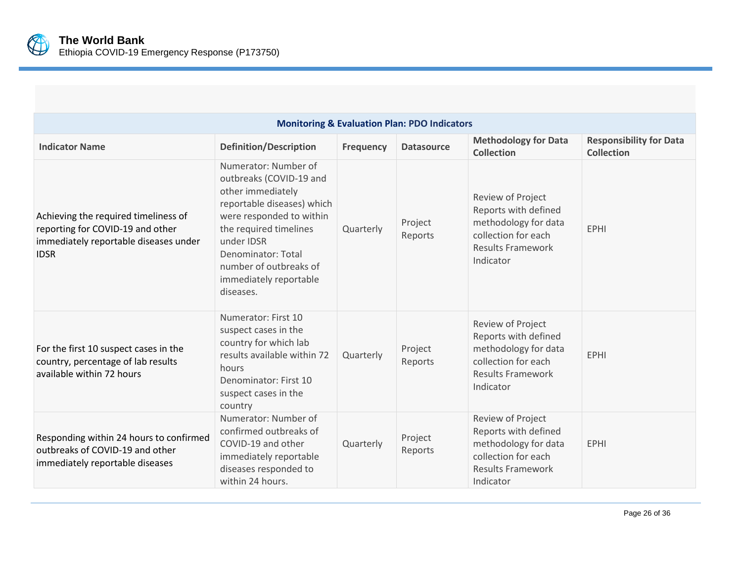

| <b>Monitoring &amp; Evaluation Plan: PDO Indicators</b>                                                                          |                                                                                                                                                                                                                                                               |                  |                    |                                                                                                                                   |                                                     |
|----------------------------------------------------------------------------------------------------------------------------------|---------------------------------------------------------------------------------------------------------------------------------------------------------------------------------------------------------------------------------------------------------------|------------------|--------------------|-----------------------------------------------------------------------------------------------------------------------------------|-----------------------------------------------------|
| <b>Indicator Name</b>                                                                                                            | <b>Definition/Description</b>                                                                                                                                                                                                                                 | <b>Frequency</b> | <b>Datasource</b>  | <b>Methodology for Data</b><br><b>Collection</b>                                                                                  | <b>Responsibility for Data</b><br><b>Collection</b> |
| Achieving the required timeliness of<br>reporting for COVID-19 and other<br>immediately reportable diseases under<br><b>IDSR</b> | Numerator: Number of<br>outbreaks (COVID-19 and<br>other immediately<br>reportable diseases) which<br>were responded to within<br>the required timelines<br>under IDSR<br>Denominator: Total<br>number of outbreaks of<br>immediately reportable<br>diseases. | Quarterly        | Project<br>Reports | Review of Project<br>Reports with defined<br>methodology for data<br>collection for each<br><b>Results Framework</b><br>Indicator | <b>EPHI</b>                                         |
| For the first 10 suspect cases in the<br>country, percentage of lab results<br>available within 72 hours                         | Numerator: First 10<br>suspect cases in the<br>country for which lab<br>results available within 72<br>hours<br>Denominator: First 10<br>suspect cases in the<br>country                                                                                      | Quarterly        | Project<br>Reports | Review of Project<br>Reports with defined<br>methodology for data<br>collection for each<br><b>Results Framework</b><br>Indicator | <b>EPHI</b>                                         |
| Responding within 24 hours to confirmed<br>outbreaks of COVID-19 and other<br>immediately reportable diseases                    | Numerator: Number of<br>confirmed outbreaks of<br>COVID-19 and other<br>immediately reportable<br>diseases responded to<br>within 24 hours.                                                                                                                   | Quarterly        | Project<br>Reports | Review of Project<br>Reports with defined<br>methodology for data<br>collection for each<br><b>Results Framework</b><br>Indicator | <b>EPHI</b>                                         |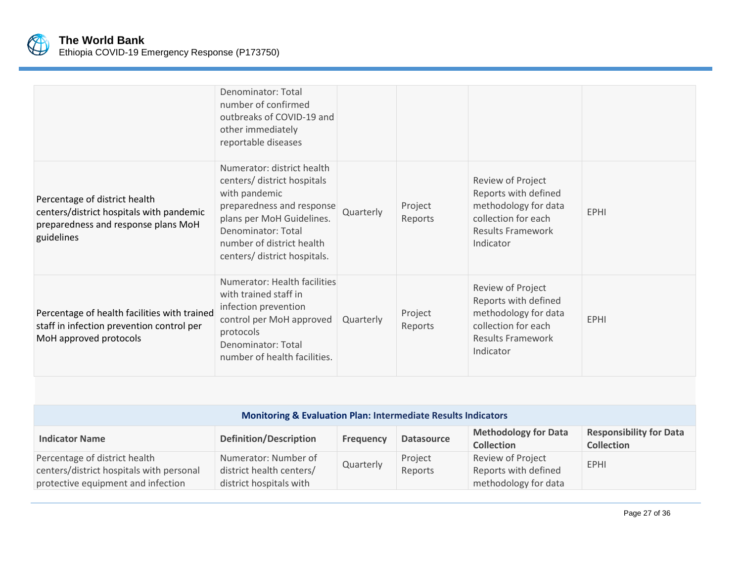

|                                                                                                                                | Denominator: Total<br>number of confirmed<br>outbreaks of COVID-19 and<br>other immediately<br>reportable diseases                                                                                                      |           |                    |                                                                                                                                   |             |
|--------------------------------------------------------------------------------------------------------------------------------|-------------------------------------------------------------------------------------------------------------------------------------------------------------------------------------------------------------------------|-----------|--------------------|-----------------------------------------------------------------------------------------------------------------------------------|-------------|
| Percentage of district health<br>centers/district hospitals with pandemic<br>preparedness and response plans MoH<br>guidelines | Numerator: district health<br>centers/ district hospitals<br>with pandemic<br>preparedness and response<br>plans per MoH Guidelines.<br>Denominator: Total<br>number of district health<br>centers/ district hospitals. | Quarterly | Project<br>Reports | Review of Project<br>Reports with defined<br>methodology for data<br>collection for each<br><b>Results Framework</b><br>Indicator | <b>EPHI</b> |
| Percentage of health facilities with trained<br>staff in infection prevention control per<br>MoH approved protocols            | Numerator: Health facilities<br>with trained staff in<br>infection prevention<br>control per MoH approved<br>protocols<br>Denominator: Total<br>number of health facilities.                                            | Quarterly | Project<br>Reports | Review of Project<br>Reports with defined<br>methodology for data<br>collection for each<br><b>Results Framework</b><br>Indicator | <b>EPHI</b> |

| <b>Monitoring &amp; Evaluation Plan: Intermediate Results Indicators</b>                                        |                                                                             |                  |                    |                                                                   |                                                     |
|-----------------------------------------------------------------------------------------------------------------|-----------------------------------------------------------------------------|------------------|--------------------|-------------------------------------------------------------------|-----------------------------------------------------|
| <b>Indicator Name</b>                                                                                           | <b>Definition/Description</b>                                               | <b>Frequency</b> | <b>Datasource</b>  | <b>Methodology for Data</b><br><b>Collection</b>                  | <b>Responsibility for Data</b><br><b>Collection</b> |
| Percentage of district health<br>centers/district hospitals with personal<br>protective equipment and infection | Numerator: Number of<br>district health centers/<br>district hospitals with | Quarterly        | Project<br>Reports | Review of Project<br>Reports with defined<br>methodology for data | <b>EPHI</b>                                         |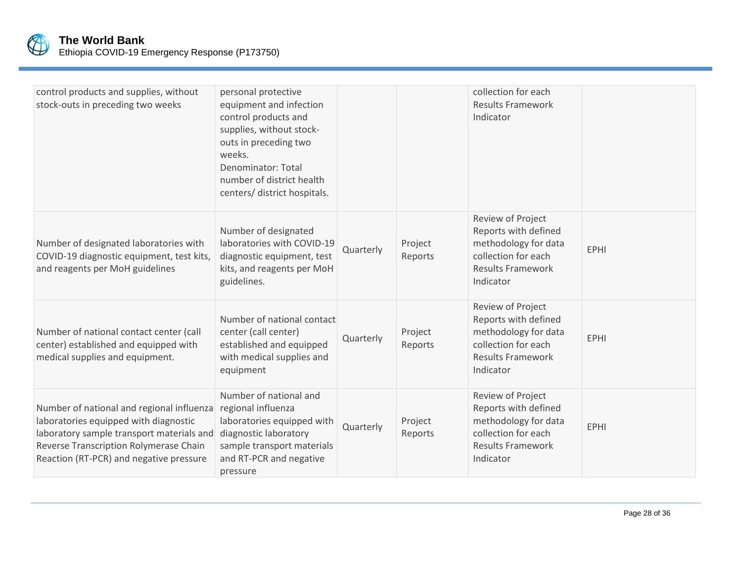

| control products and supplies, without<br>stock-outs in preceding two weeks                                                                                                                                          | personal protective<br>equipment and infection<br>control products and<br>supplies, without stock-<br>outs in preceding two<br>weeks.<br>Denominator: Total<br>number of district health<br>centers/ district hospitals. |           |                    | collection for each<br><b>Results Framework</b><br>Indicator                                                                      |             |
|----------------------------------------------------------------------------------------------------------------------------------------------------------------------------------------------------------------------|--------------------------------------------------------------------------------------------------------------------------------------------------------------------------------------------------------------------------|-----------|--------------------|-----------------------------------------------------------------------------------------------------------------------------------|-------------|
| Number of designated laboratories with<br>COVID-19 diagnostic equipment, test kits,<br>and reagents per MoH guidelines                                                                                               | Number of designated<br>laboratories with COVID-19<br>diagnostic equipment, test<br>kits, and reagents per MoH<br>guidelines.                                                                                            | Quarterly | Project<br>Reports | Review of Project<br>Reports with defined<br>methodology for data<br>collection for each<br><b>Results Framework</b><br>Indicator | <b>EPHI</b> |
| Number of national contact center (call<br>center) established and equipped with<br>medical supplies and equipment.                                                                                                  | Number of national contact<br>center (call center)<br>established and equipped<br>with medical supplies and<br>equipment                                                                                                 | Quarterly | Project<br>Reports | Review of Project<br>Reports with defined<br>methodology for data<br>collection for each<br><b>Results Framework</b><br>Indicator | <b>EPHI</b> |
| Number of national and regional influenza<br>laboratories equipped with diagnostic<br>laboratory sample transport materials and<br>Reverse Transcription Rolymerase Chain<br>Reaction (RT-PCR) and negative pressure | Number of national and<br>regional influenza<br>laboratories equipped with<br>diagnostic laboratory<br>sample transport materials<br>and RT-PCR and negative<br>pressure                                                 | Quarterly | Project<br>Reports | Review of Project<br>Reports with defined<br>methodology for data<br>collection for each<br><b>Results Framework</b><br>Indicator | <b>EPHI</b> |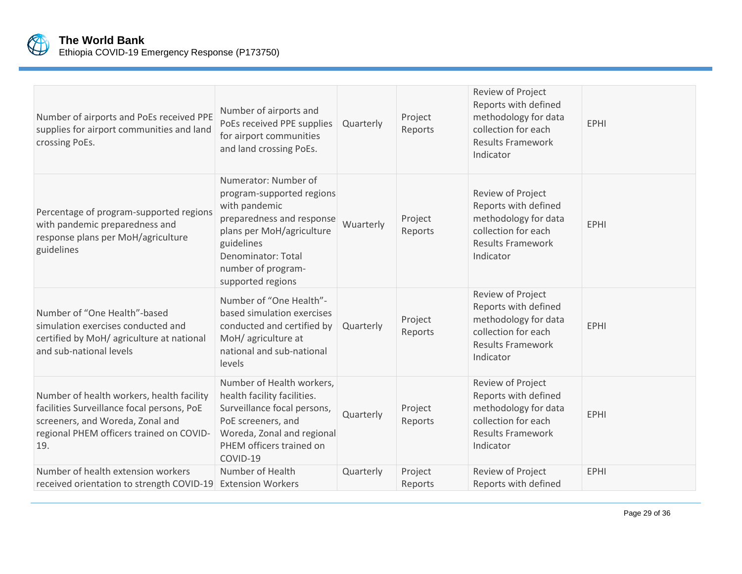

| Number of airports and PoEs received PPE<br>supplies for airport communities and land<br>crossing PoEs.                                                                        | Number of airports and<br>PoEs received PPE supplies<br>for airport communities<br>and land crossing PoEs.                                                                                                  | Quarterly | Project<br>Reports | Review of Project<br>Reports with defined<br>methodology for data<br>collection for each<br><b>Results Framework</b><br>Indicator | <b>EPHI</b> |
|--------------------------------------------------------------------------------------------------------------------------------------------------------------------------------|-------------------------------------------------------------------------------------------------------------------------------------------------------------------------------------------------------------|-----------|--------------------|-----------------------------------------------------------------------------------------------------------------------------------|-------------|
| Percentage of program-supported regions<br>with pandemic preparedness and<br>response plans per MoH/agriculture<br>guidelines                                                  | Numerator: Number of<br>program-supported regions<br>with pandemic<br>preparedness and response<br>plans per MoH/agriculture<br>guidelines<br>Denominator: Total<br>number of program-<br>supported regions | Wuarterly | Project<br>Reports | Review of Project<br>Reports with defined<br>methodology for data<br>collection for each<br><b>Results Framework</b><br>Indicator | <b>EPHI</b> |
| Number of "One Health"-based<br>simulation exercises conducted and<br>certified by MoH/ agriculture at national<br>and sub-national levels                                     | Number of "One Health"-<br>based simulation exercises<br>conducted and certified by<br>MoH/ agriculture at<br>national and sub-national<br>levels                                                           | Quarterly | Project<br>Reports | Review of Project<br>Reports with defined<br>methodology for data<br>collection for each<br><b>Results Framework</b><br>Indicator | <b>EPHI</b> |
| Number of health workers, health facility<br>facilities Surveillance focal persons, PoE<br>screeners, and Woreda, Zonal and<br>regional PHEM officers trained on COVID-<br>19. | Number of Health workers,<br>health facility facilities.<br>Surveillance focal persons,<br>PoE screeners, and<br>Woreda, Zonal and regional<br>PHEM officers trained on<br>COVID-19                         | Quarterly | Project<br>Reports | Review of Project<br>Reports with defined<br>methodology for data<br>collection for each<br><b>Results Framework</b><br>Indicator | <b>EPHI</b> |
| Number of health extension workers<br>received orientation to strength COVID-19                                                                                                | Number of Health<br><b>Extension Workers</b>                                                                                                                                                                | Quarterly | Project<br>Reports | Review of Project<br>Reports with defined                                                                                         | <b>EPHI</b> |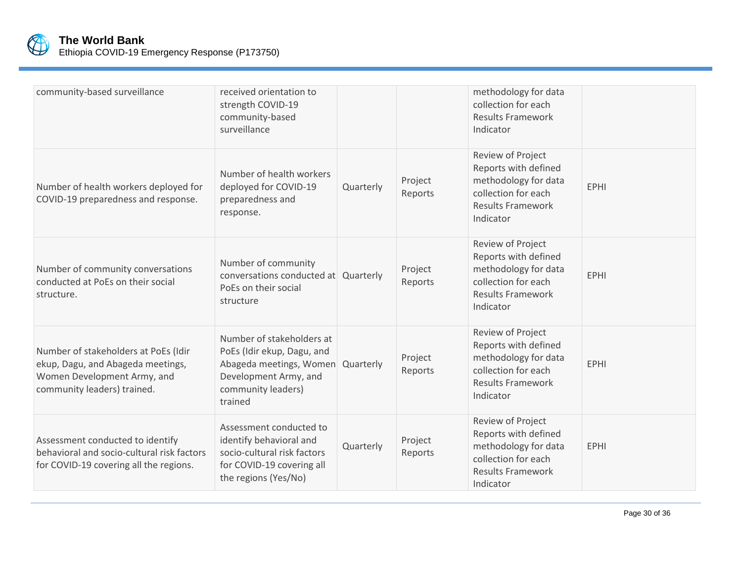

| community-based surveillance                                                                                                            | received orientation to<br>strength COVID-19<br>community-based<br>surveillance                                                              |           |                    | methodology for data<br>collection for each<br><b>Results Framework</b><br>Indicator                                              |             |
|-----------------------------------------------------------------------------------------------------------------------------------------|----------------------------------------------------------------------------------------------------------------------------------------------|-----------|--------------------|-----------------------------------------------------------------------------------------------------------------------------------|-------------|
| Number of health workers deployed for<br>COVID-19 preparedness and response.                                                            | Number of health workers<br>deployed for COVID-19<br>preparedness and<br>response.                                                           | Quarterly | Project<br>Reports | Review of Project<br>Reports with defined<br>methodology for data<br>collection for each<br><b>Results Framework</b><br>Indicator | <b>EPHI</b> |
| Number of community conversations<br>conducted at PoEs on their social<br>structure.                                                    | Number of community<br>conversations conducted at Quarterly<br>PoEs on their social<br>structure                                             |           | Project<br>Reports | Review of Project<br>Reports with defined<br>methodology for data<br>collection for each<br><b>Results Framework</b><br>Indicator | <b>EPHI</b> |
| Number of stakeholders at PoEs (Idir<br>ekup, Dagu, and Abageda meetings,<br>Women Development Army, and<br>community leaders) trained. | Number of stakeholders at<br>PoEs (Idir ekup, Dagu, and<br>Abageda meetings, Women<br>Development Army, and<br>community leaders)<br>trained | Quarterly | Project<br>Reports | Review of Project<br>Reports with defined<br>methodology for data<br>collection for each<br><b>Results Framework</b><br>Indicator | <b>EPHI</b> |
| Assessment conducted to identify<br>behavioral and socio-cultural risk factors<br>for COVID-19 covering all the regions.                | Assessment conducted to<br>identify behavioral and<br>socio-cultural risk factors<br>for COVID-19 covering all<br>the regions (Yes/No)       | Quarterly | Project<br>Reports | Review of Project<br>Reports with defined<br>methodology for data<br>collection for each<br><b>Results Framework</b><br>Indicator | <b>EPHI</b> |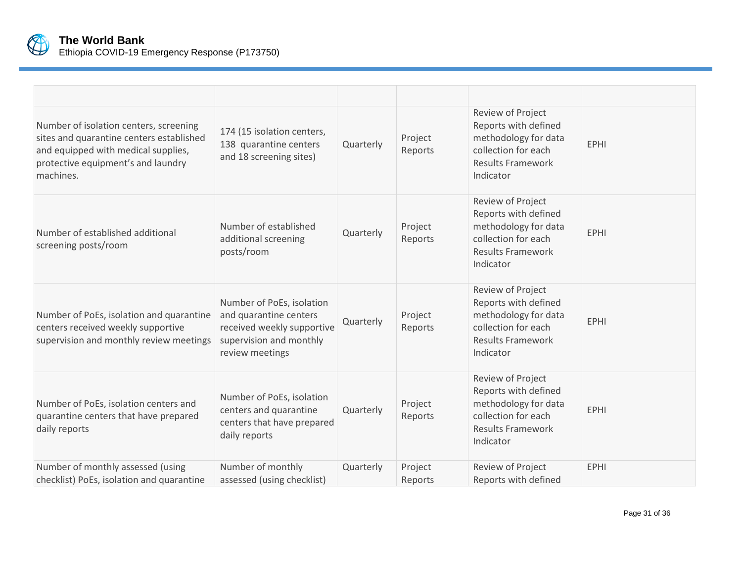

| Number of isolation centers, screening<br>sites and quarantine centers established<br>and equipped with medical supplies,<br>protective equipment's and laundry<br>machines. | 174 (15 isolation centers,<br>138 quarantine centers<br>and 18 screening sites)                                                 | Quarterly | Project<br>Reports | Review of Project<br>Reports with defined<br>methodology for data<br>collection for each<br><b>Results Framework</b><br>Indicator | <b>EPHI</b> |
|------------------------------------------------------------------------------------------------------------------------------------------------------------------------------|---------------------------------------------------------------------------------------------------------------------------------|-----------|--------------------|-----------------------------------------------------------------------------------------------------------------------------------|-------------|
| Number of established additional<br>screening posts/room                                                                                                                     | Number of established<br>additional screening<br>posts/room                                                                     | Quarterly | Project<br>Reports | Review of Project<br>Reports with defined<br>methodology for data<br>collection for each<br><b>Results Framework</b><br>Indicator | <b>EPHI</b> |
| Number of PoEs, isolation and quarantine<br>centers received weekly supportive<br>supervision and monthly review meetings                                                    | Number of PoEs, isolation<br>and quarantine centers<br>received weekly supportive<br>supervision and monthly<br>review meetings | Quarterly | Project<br>Reports | Review of Project<br>Reports with defined<br>methodology for data<br>collection for each<br><b>Results Framework</b><br>Indicator | <b>EPHI</b> |
| Number of PoEs, isolation centers and<br>quarantine centers that have prepared<br>daily reports                                                                              | Number of PoEs, isolation<br>centers and quarantine<br>centers that have prepared<br>daily reports                              | Quarterly | Project<br>Reports | Review of Project<br>Reports with defined<br>methodology for data<br>collection for each<br><b>Results Framework</b><br>Indicator | <b>EPHI</b> |
| Number of monthly assessed (using<br>checklist) PoEs, isolation and quarantine                                                                                               | Number of monthly<br>assessed (using checklist)                                                                                 | Quarterly | Project<br>Reports | Review of Project<br>Reports with defined                                                                                         | <b>EPHI</b> |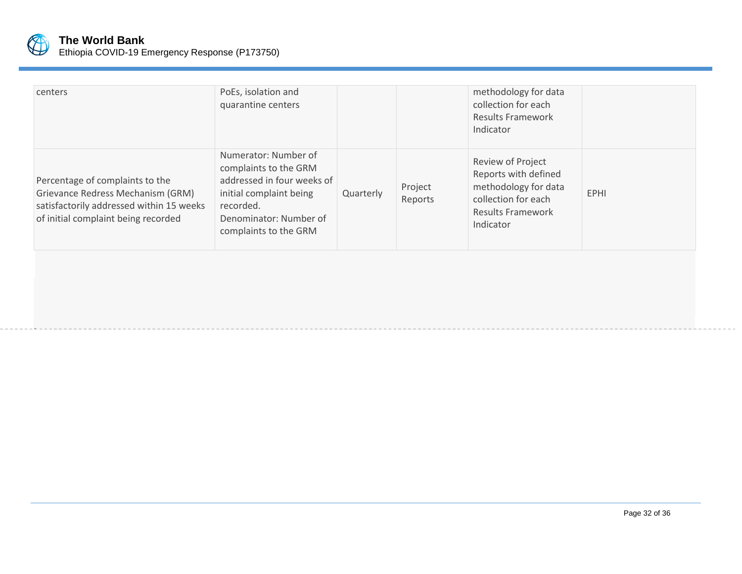

.

| centers                                                                                                                                                 | PoEs, isolation and<br>quarantine centers                                                                                                                              |           |                    | methodology for data<br>collection for each<br><b>Results Framework</b><br>Indicator                                              |             |
|---------------------------------------------------------------------------------------------------------------------------------------------------------|------------------------------------------------------------------------------------------------------------------------------------------------------------------------|-----------|--------------------|-----------------------------------------------------------------------------------------------------------------------------------|-------------|
| Percentage of complaints to the<br>Grievance Redress Mechanism (GRM)<br>satisfactorily addressed within 15 weeks<br>of initial complaint being recorded | Numerator: Number of<br>complaints to the GRM<br>addressed in four weeks of<br>initial complaint being<br>recorded.<br>Denominator: Number of<br>complaints to the GRM | Quarterly | Project<br>Reports | Review of Project<br>Reports with defined<br>methodology for data<br>collection for each<br><b>Results Framework</b><br>Indicator | <b>EPHI</b> |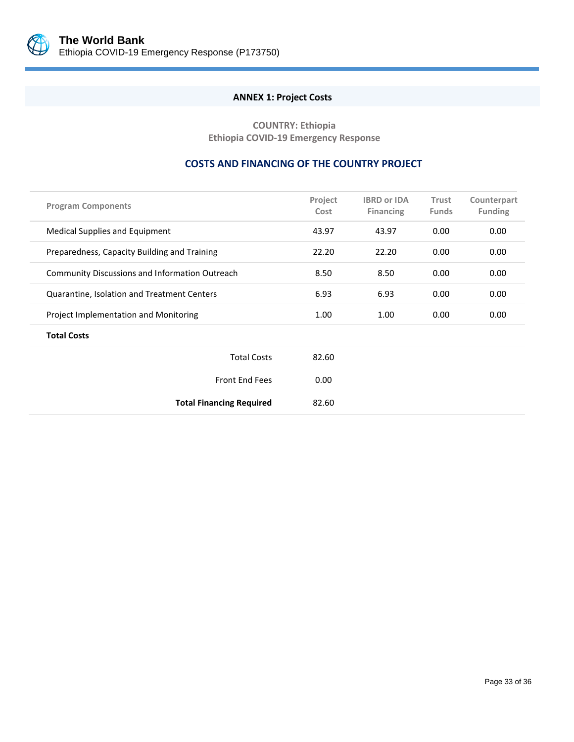<span id="page-37-0"></span>

# **ANNEX 1: Project Costs**

**COUNTRY: Ethiopia Ethiopia COVID-19 Emergency Response**

# **COSTS AND FINANCING OF THE COUNTRY PROJECT**

| <b>Program Components</b>                             | Project<br>Cost | <b>IBRD or IDA</b><br><b>Financing</b> | Trust<br><b>Funds</b> | Counterpart<br><b>Funding</b> |
|-------------------------------------------------------|-----------------|----------------------------------------|-----------------------|-------------------------------|
| <b>Medical Supplies and Equipment</b>                 | 43.97           | 43.97                                  | 0.00                  | 0.00                          |
| Preparedness, Capacity Building and Training          | 22.20           | 22.20                                  | 0.00                  | 0.00                          |
| <b>Community Discussions and Information Outreach</b> | 8.50            | 8.50                                   | 0.00                  | 0.00                          |
| Quarantine, Isolation and Treatment Centers           | 6.93            | 6.93                                   | 0.00                  | 0.00                          |
| Project Implementation and Monitoring                 | 1.00            | 1.00                                   | 0.00                  | 0.00                          |
| <b>Total Costs</b>                                    |                 |                                        |                       |                               |
| <b>Total Costs</b>                                    | 82.60           |                                        |                       |                               |
| <b>Front End Fees</b>                                 | 0.00            |                                        |                       |                               |
| <b>Total Financing Required</b>                       | 82.60           |                                        |                       |                               |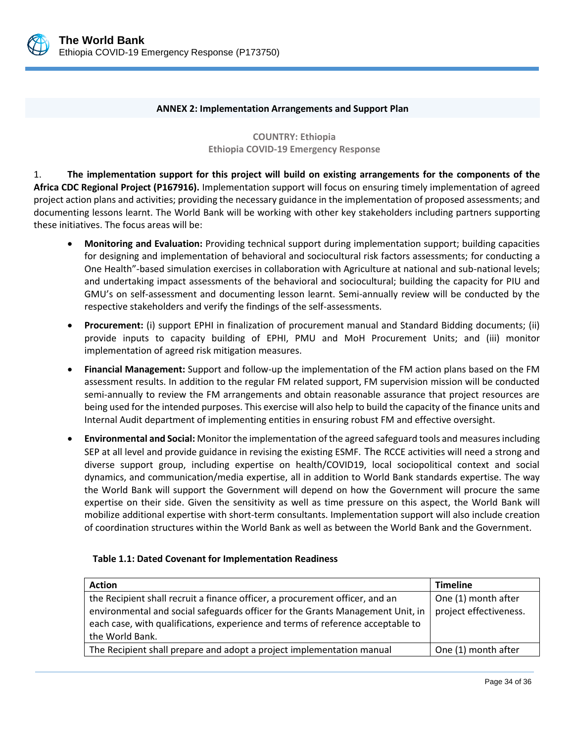

#### **ANNEX 2: Implementation Arrangements and Support Plan**

**COUNTRY: Ethiopia Ethiopia COVID-19 Emergency Response**

<span id="page-38-0"></span>1. **The implementation support for this project will build on existing arrangements for the components of the Africa CDC Regional Project (P167916).** Implementation support will focus on ensuring timely implementation of agreed project action plans and activities; providing the necessary guidance in the implementation of proposed assessments; and documenting lessons learnt. The World Bank will be working with other key stakeholders including partners supporting these initiatives. The focus areas will be:

- **Monitoring and Evaluation:** Providing technical support during implementation support; building capacities for designing and implementation of behavioral and sociocultural risk factors assessments; for conducting a One Health"-based simulation exercises in collaboration with Agriculture at national and sub-national levels; and undertaking impact assessments of the behavioral and sociocultural; building the capacity for PIU and GMU's on self-assessment and documenting lesson learnt. Semi-annually review will be conducted by the respective stakeholders and verify the findings of the self-assessments.
- **Procurement:** (i) support EPHI in finalization of procurement manual and Standard Bidding documents; (ii) provide inputs to capacity building of EPHI, PMU and MoH Procurement Units; and (iii) monitor implementation of agreed risk mitigation measures.
- **Financial Management:** Support and follow-up the implementation of the FM action plans based on the FM assessment results. In addition to the regular FM related support, FM supervision mission will be conducted semi-annually to review the FM arrangements and obtain reasonable assurance that project resources are being used for the intended purposes. This exercise will also help to build the capacity of the finance units and Internal Audit department of implementing entities in ensuring robust FM and effective oversight.
- **Environmental and Social:** Monitor the implementation of the agreed safeguard tools and measures including SEP at all level and provide guidance in revising the existing ESMF. The RCCE activities will need a strong and diverse support group, including expertise on health/COVID19, local sociopolitical context and social dynamics, and communication/media expertise, all in addition to World Bank standards expertise. The way the World Bank will support the Government will depend on how the Government will procure the same expertise on their side. Given the sensitivity as well as time pressure on this aspect, the World Bank will mobilize additional expertise with short-term consultants. Implementation support will also include creation of coordination structures within the World Bank as well as between the World Bank and the Government.

#### **Table 1.1: Dated Covenant for Implementation Readiness**

| <b>Action</b>                                                                                                                                                     | <b>Timeline</b>        |
|-------------------------------------------------------------------------------------------------------------------------------------------------------------------|------------------------|
| the Recipient shall recruit a finance officer, a procurement officer, and an                                                                                      | One (1) month after    |
| environmental and social safeguards officer for the Grants Management Unit, in<br>each case, with qualifications, experience and terms of reference acceptable to | project effectiveness. |
| the World Bank.                                                                                                                                                   |                        |
| The Recipient shall prepare and adopt a project implementation manual                                                                                             | One (1) month after    |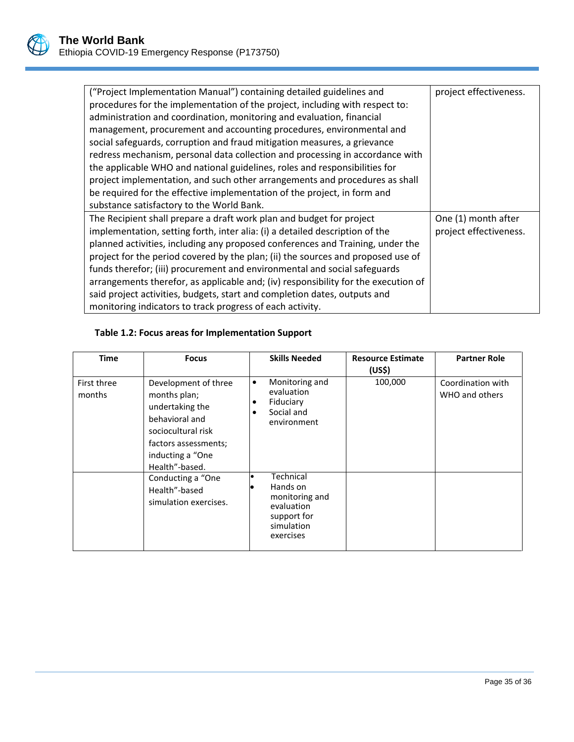| ("Project Implementation Manual") containing detailed guidelines and               | project effectiveness. |
|------------------------------------------------------------------------------------|------------------------|
| procedures for the implementation of the project, including with respect to:       |                        |
| administration and coordination, monitoring and evaluation, financial              |                        |
| management, procurement and accounting procedures, environmental and               |                        |
| social safeguards, corruption and fraud mitigation measures, a grievance           |                        |
| redress mechanism, personal data collection and processing in accordance with      |                        |
| the applicable WHO and national guidelines, roles and responsibilities for         |                        |
| project implementation, and such other arrangements and procedures as shall        |                        |
| be required for the effective implementation of the project, in form and           |                        |
| substance satisfactory to the World Bank.                                          |                        |
| The Recipient shall prepare a draft work plan and budget for project               | One (1) month after    |
| implementation, setting forth, inter alia: (i) a detailed description of the       | project effectiveness. |
| planned activities, including any proposed conferences and Training, under the     |                        |
| project for the period covered by the plan; (ii) the sources and proposed use of   |                        |
| funds therefor; (iii) procurement and environmental and social safeguards          |                        |
| arrangements therefor, as applicable and; (iv) responsibility for the execution of |                        |
| said project activities, budgets, start and completion dates, outputs and          |                        |
| monitoring indicators to track progress of each activity.                          |                        |

# **Table 1.2: Focus areas for Implementation Support**

| Time                  | <b>Focus</b>                                                                                                                                                  | <b>Skills Needed</b>                                                                            | <b>Resource Estimate</b><br>(US\$) | <b>Partner Role</b>                 |
|-----------------------|---------------------------------------------------------------------------------------------------------------------------------------------------------------|-------------------------------------------------------------------------------------------------|------------------------------------|-------------------------------------|
| First three<br>months | Development of three<br>months plan;<br>undertaking the<br>behavioral and<br>sociocultural risk<br>factors assessments;<br>inducting a "One<br>Health"-based. | Monitoring and<br>٠<br>evaluation<br>Fiduciary<br>Social and<br>environment                     | 100,000                            | Coordination with<br>WHO and others |
|                       | Conducting a "One<br>Health"-based<br>simulation exercises.                                                                                                   | Technical<br>Hands on<br>monitoring and<br>evaluation<br>support for<br>simulation<br>exercises |                                    |                                     |